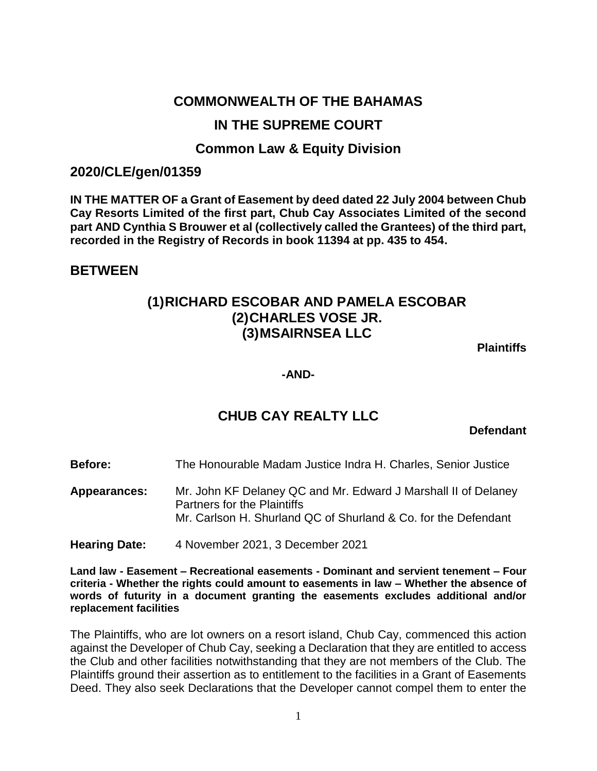# **COMMONWEALTH OF THE BAHAMAS**

# **IN THE SUPREME COURT**

# **Common Law & Equity Division**

## **2020/CLE/gen/01359**

**IN THE MATTER OF a Grant of Easement by deed dated 22 July 2004 between Chub Cay Resorts Limited of the first part, Chub Cay Associates Limited of the second part AND Cynthia S Brouwer et al (collectively called the Grantees) of the third part, recorded in the Registry of Records in book 11394 at pp. 435 to 454.**

## **BETWEEN**

# **(1)RICHARD ESCOBAR AND PAMELA ESCOBAR (2)CHARLES VOSE JR. (3)MSAIRNSEA LLC**

**Plaintiffs**

**-AND-**

# **CHUB CAY REALTY LLC**

**Defendant**

**Before:** The Honourable Madam Justice Indra H. Charles, Senior Justice

**Appearances:** Mr. John KF Delaney QC and Mr. Edward J Marshall II of Delaney Partners for the Plaintiffs Mr. Carlson H. Shurland QC of Shurland & Co. for the Defendant

**Hearing Date:** 4 November 2021, 3 December 2021

**Land law - Easement – Recreational easements - Dominant and servient tenement – Four criteria - Whether the rights could amount to easements in law – Whether the absence of words of futurity in a document granting the easements excludes additional and/or replacement facilities**

The Plaintiffs, who are lot owners on a resort island, Chub Cay, commenced this action against the Developer of Chub Cay, seeking a Declaration that they are entitled to access the Club and other facilities notwithstanding that they are not members of the Club. The Plaintiffs ground their assertion as to entitlement to the facilities in a Grant of Easements Deed. They also seek Declarations that the Developer cannot compel them to enter the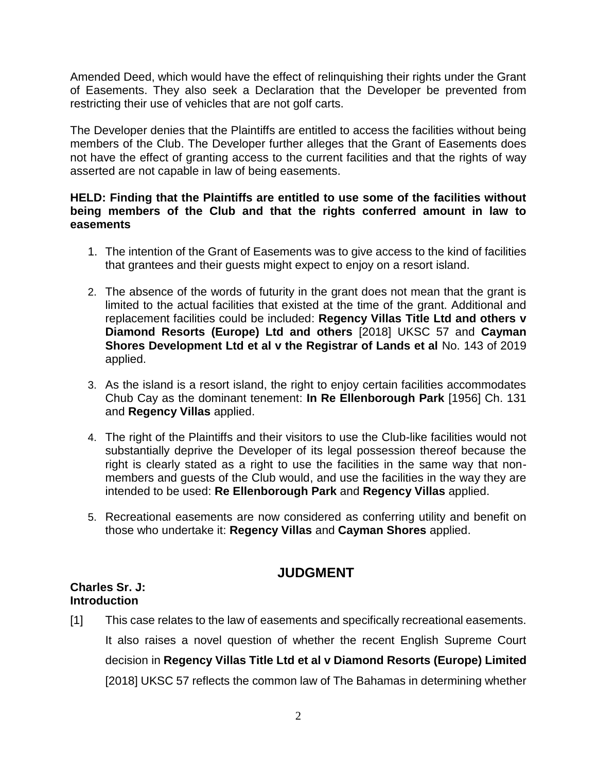Amended Deed, which would have the effect of relinquishing their rights under the Grant of Easements. They also seek a Declaration that the Developer be prevented from restricting their use of vehicles that are not golf carts.

The Developer denies that the Plaintiffs are entitled to access the facilities without being members of the Club. The Developer further alleges that the Grant of Easements does not have the effect of granting access to the current facilities and that the rights of way asserted are not capable in law of being easements.

## **HELD: Finding that the Plaintiffs are entitled to use some of the facilities without being members of the Club and that the rights conferred amount in law to easements**

- 1. The intention of the Grant of Easements was to give access to the kind of facilities that grantees and their guests might expect to enjoy on a resort island.
- 2. The absence of the words of futurity in the grant does not mean that the grant is limited to the actual facilities that existed at the time of the grant. Additional and replacement facilities could be included: **Regency Villas Title Ltd and others v Diamond Resorts (Europe) Ltd and others** [2018] UKSC 57 and **Cayman Shores Development Ltd et al v the Registrar of Lands et al** No. 143 of 2019 applied.
- 3. As the island is a resort island, the right to enjoy certain facilities accommodates Chub Cay as the dominant tenement: **In Re Ellenborough Park** [1956] Ch. 131 and **Regency Villas** applied.
- 4. The right of the Plaintiffs and their visitors to use the Club-like facilities would not substantially deprive the Developer of its legal possession thereof because the right is clearly stated as a right to use the facilities in the same way that nonmembers and guests of the Club would, and use the facilities in the way they are intended to be used: **Re Ellenborough Park** and **Regency Villas** applied.
- 5. Recreational easements are now considered as conferring utility and benefit on those who undertake it: **Regency Villas** and **Cayman Shores** applied.

# **JUDGMENT**

## **Charles Sr. J: Introduction**

[1] This case relates to the law of easements and specifically recreational easements. It also raises a novel question of whether the recent English Supreme Court decision in **Regency Villas Title Ltd et al v Diamond Resorts (Europe) Limited**  [2018] UKSC 57 reflects the common law of The Bahamas in determining whether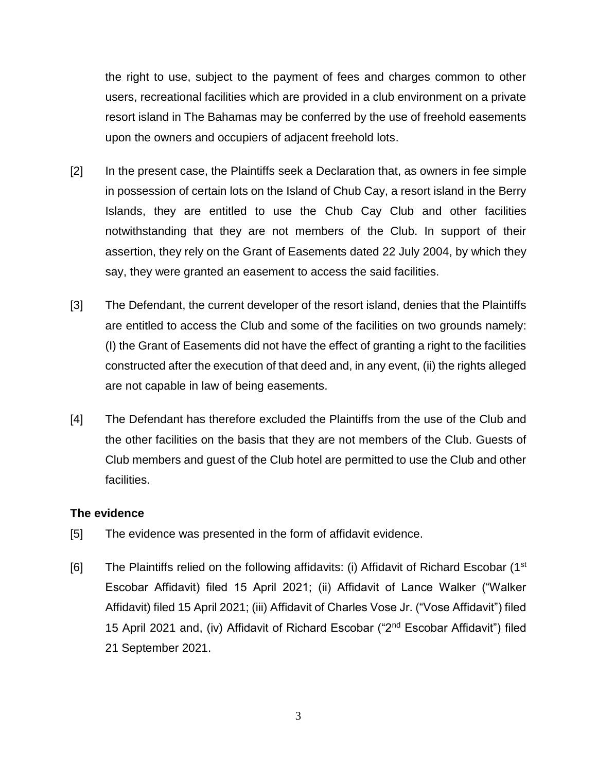the right to use, subject to the payment of fees and charges common to other users, recreational facilities which are provided in a club environment on a private resort island in The Bahamas may be conferred by the use of freehold easements upon the owners and occupiers of adjacent freehold lots.

- [2] In the present case, the Plaintiffs seek a Declaration that, as owners in fee simple in possession of certain lots on the Island of Chub Cay, a resort island in the Berry Islands, they are entitled to use the Chub Cay Club and other facilities notwithstanding that they are not members of the Club. In support of their assertion, they rely on the Grant of Easements dated 22 July 2004, by which they say, they were granted an easement to access the said facilities.
- [3] The Defendant, the current developer of the resort island, denies that the Plaintiffs are entitled to access the Club and some of the facilities on two grounds namely: (I) the Grant of Easements did not have the effect of granting a right to the facilities constructed after the execution of that deed and, in any event, (ii) the rights alleged are not capable in law of being easements.
- [4] The Defendant has therefore excluded the Plaintiffs from the use of the Club and the other facilities on the basis that they are not members of the Club. Guests of Club members and guest of the Club hotel are permitted to use the Club and other facilities.

## **The evidence**

- [5] The evidence was presented in the form of affidavit evidence.
- [6] The Plaintiffs relied on the following affidavits: (i) Affidavit of Richard Escobar (1<sup>st</sup>) Escobar Affidavit) filed 15 April 2021; (ii) Affidavit of Lance Walker ("Walker Affidavit) filed 15 April 2021; (iii) Affidavit of Charles Vose Jr. ("Vose Affidavit") filed 15 April 2021 and, (iv) Affidavit of Richard Escobar ("2nd Escobar Affidavit") filed 21 September 2021.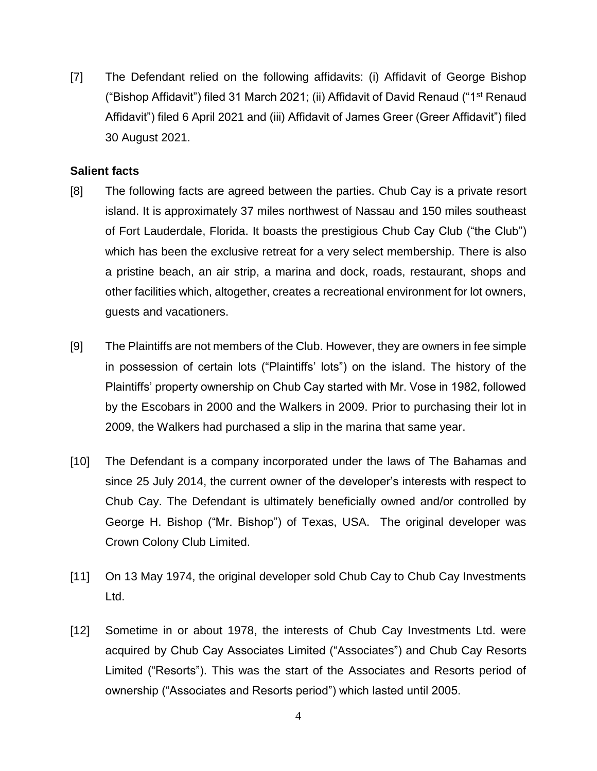[7] The Defendant relied on the following affidavits: (i) Affidavit of George Bishop ("Bishop Affidavit") filed 31 March 2021; (ii) Affidavit of David Renaud ("1st Renaud Affidavit") filed 6 April 2021 and (iii) Affidavit of James Greer (Greer Affidavit") filed 30 August 2021.

## **Salient facts**

- [8] The following facts are agreed between the parties. Chub Cay is a private resort island. It is approximately 37 miles northwest of Nassau and 150 miles southeast of Fort Lauderdale, Florida. It boasts the prestigious Chub Cay Club ("the Club") which has been the exclusive retreat for a very select membership. There is also a pristine beach, an air strip, a marina and dock, roads, restaurant, shops and other facilities which, altogether, creates a recreational environment for lot owners, guests and vacationers.
- [9] The Plaintiffs are not members of the Club. However, they are owners in fee simple in possession of certain lots ("Plaintiffs' lots") on the island. The history of the Plaintiffs' property ownership on Chub Cay started with Mr. Vose in 1982, followed by the Escobars in 2000 and the Walkers in 2009. Prior to purchasing their lot in 2009, the Walkers had purchased a slip in the marina that same year.
- [10] The Defendant is a company incorporated under the laws of The Bahamas and since 25 July 2014, the current owner of the developer's interests with respect to Chub Cay. The Defendant is ultimately beneficially owned and/or controlled by George H. Bishop ("Mr. Bishop") of Texas, USA. The original developer was Crown Colony Club Limited.
- [11] On 13 May 1974, the original developer sold Chub Cay to Chub Cay Investments Ltd.
- [12] Sometime in or about 1978, the interests of Chub Cay Investments Ltd. were acquired by Chub Cay Associates Limited ("Associates") and Chub Cay Resorts Limited ("Resorts"). This was the start of the Associates and Resorts period of ownership ("Associates and Resorts period") which lasted until 2005.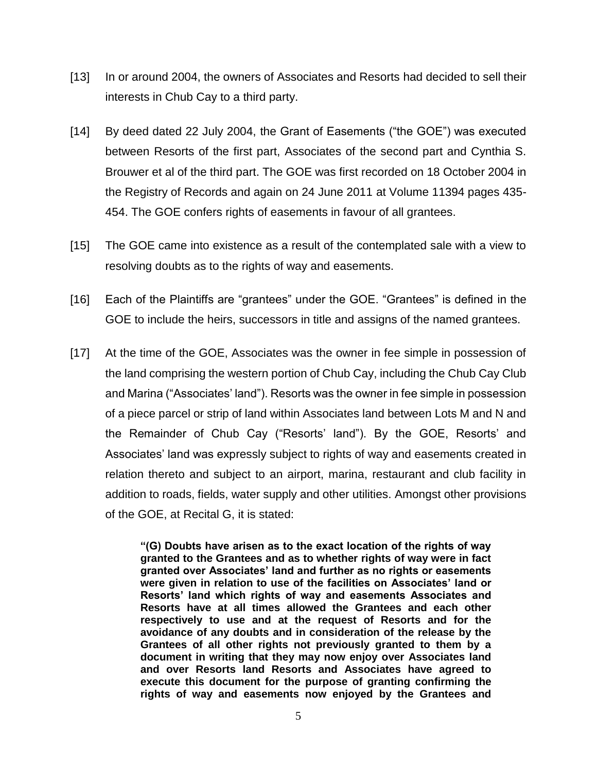- [13] In or around 2004, the owners of Associates and Resorts had decided to sell their interests in Chub Cay to a third party.
- [14] By deed dated 22 July 2004, the Grant of Easements ("the GOE") was executed between Resorts of the first part, Associates of the second part and Cynthia S. Brouwer et al of the third part. The GOE was first recorded on 18 October 2004 in the Registry of Records and again on 24 June 2011 at Volume 11394 pages 435- 454. The GOE confers rights of easements in favour of all grantees.
- [15] The GOE came into existence as a result of the contemplated sale with a view to resolving doubts as to the rights of way and easements.
- [16] Each of the Plaintiffs are "grantees" under the GOE. "Grantees" is defined in the GOE to include the heirs, successors in title and assigns of the named grantees.
- [17] At the time of the GOE, Associates was the owner in fee simple in possession of the land comprising the western portion of Chub Cay, including the Chub Cay Club and Marina ("Associates' land"). Resorts was the owner in fee simple in possession of a piece parcel or strip of land within Associates land between Lots M and N and the Remainder of Chub Cay ("Resorts' land"). By the GOE, Resorts' and Associates' land was expressly subject to rights of way and easements created in relation thereto and subject to an airport, marina, restaurant and club facility in addition to roads, fields, water supply and other utilities. Amongst other provisions of the GOE, at Recital G, it is stated:

**"(G) Doubts have arisen as to the exact location of the rights of way granted to the Grantees and as to whether rights of way were in fact granted over Associates' land and further as no rights or easements were given in relation to use of the facilities on Associates' land or Resorts' land which rights of way and easements Associates and Resorts have at all times allowed the Grantees and each other respectively to use and at the request of Resorts and for the avoidance of any doubts and in consideration of the release by the Grantees of all other rights not previously granted to them by a document in writing that they may now enjoy over Associates land and over Resorts land Resorts and Associates have agreed to execute this document for the purpose of granting confirming the rights of way and easements now enjoyed by the Grantees and**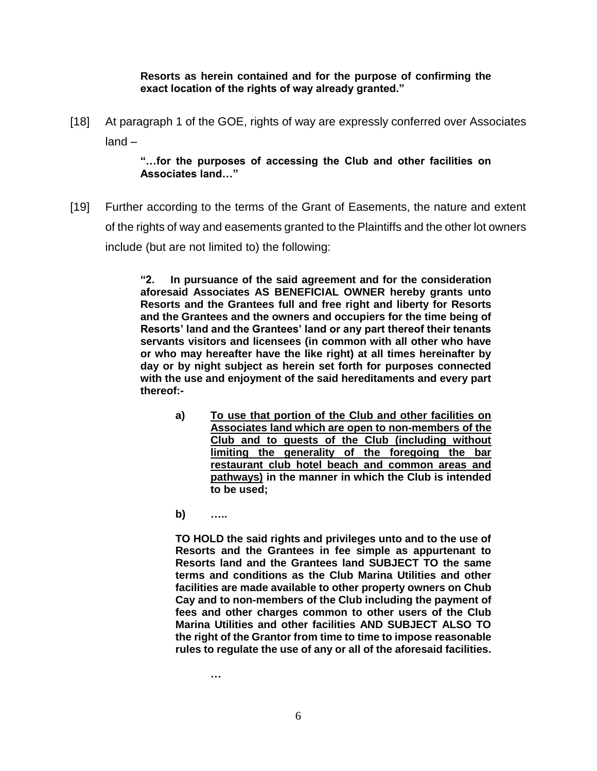**Resorts as herein contained and for the purpose of confirming the exact location of the rights of way already granted."**

[18] At paragraph 1 of the GOE, rights of way are expressly conferred over Associates land –

## **"…for the purposes of accessing the Club and other facilities on Associates land…"**

[19] Further according to the terms of the Grant of Easements, the nature and extent of the rights of way and easements granted to the Plaintiffs and the other lot owners include (but are not limited to) the following:

> **"2. In pursuance of the said agreement and for the consideration aforesaid Associates AS BENEFICIAL OWNER hereby grants unto Resorts and the Grantees full and free right and liberty for Resorts and the Grantees and the owners and occupiers for the time being of Resorts' land and the Grantees' land or any part thereof their tenants servants visitors and licensees (in common with all other who have or who may hereafter have the like right) at all times hereinafter by day or by night subject as herein set forth for purposes connected with the use and enjoyment of the said hereditaments and every part thereof:-**

- **a) To use that portion of the Club and other facilities on Associates land which are open to non-members of the Club and to guests of the Club (including without limiting the generality of the foregoing the bar restaurant club hotel beach and common areas and pathways) in the manner in which the Club is intended to be used;**
- **b) …..**

**TO HOLD the said rights and privileges unto and to the use of Resorts and the Grantees in fee simple as appurtenant to Resorts land and the Grantees land SUBJECT TO the same terms and conditions as the Club Marina Utilities and other facilities are made available to other property owners on Chub Cay and to non-members of the Club including the payment of fees and other charges common to other users of the Club Marina Utilities and other facilities AND SUBJECT ALSO TO the right of the Grantor from time to time to impose reasonable rules to regulate the use of any or all of the aforesaid facilities.**

**…**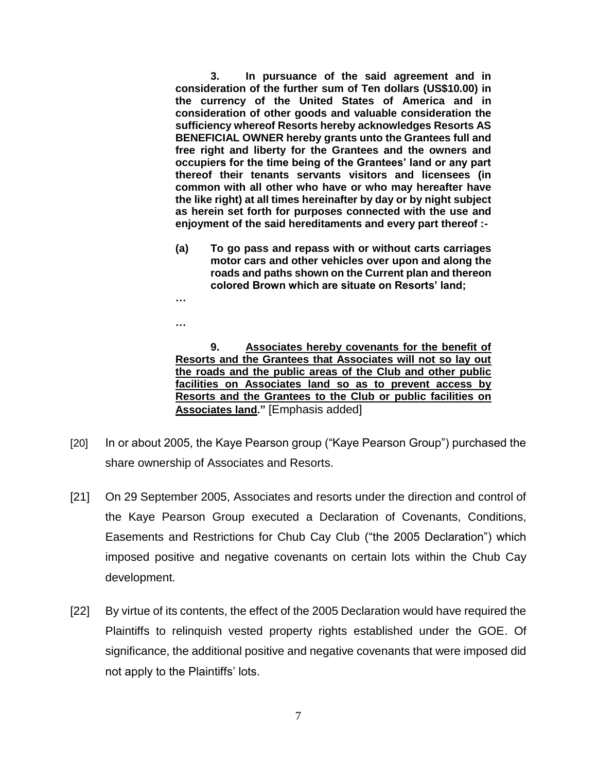**3. In pursuance of the said agreement and in consideration of the further sum of Ten dollars (US\$10.00) in the currency of the United States of America and in consideration of other goods and valuable consideration the sufficiency whereof Resorts hereby acknowledges Resorts AS BENEFICIAL OWNER hereby grants unto the Grantees full and free right and liberty for the Grantees and the owners and occupiers for the time being of the Grantees' land or any part thereof their tenants servants visitors and licensees (in common with all other who have or who may hereafter have the like right) at all times hereinafter by day or by night subject as herein set forth for purposes connected with the use and enjoyment of the said hereditaments and every part thereof :-**

**(a) To go pass and repass with or without carts carriages motor cars and other vehicles over upon and along the roads and paths shown on the Current plan and thereon colored Brown which are situate on Resorts' land;**

**…**

**…**

**9. Associates hereby covenants for the benefit of Resorts and the Grantees that Associates will not so lay out the roads and the public areas of the Club and other public facilities on Associates land so as to prevent access by Resorts and the Grantees to the Club or public facilities on Associates land."** [Emphasis added]

- [20] In or about 2005, the Kaye Pearson group ("Kaye Pearson Group") purchased the share ownership of Associates and Resorts.
- [21] On 29 September 2005, Associates and resorts under the direction and control of the Kaye Pearson Group executed a Declaration of Covenants, Conditions, Easements and Restrictions for Chub Cay Club ("the 2005 Declaration") which imposed positive and negative covenants on certain lots within the Chub Cay development.
- [22] By virtue of its contents, the effect of the 2005 Declaration would have required the Plaintiffs to relinquish vested property rights established under the GOE. Of significance, the additional positive and negative covenants that were imposed did not apply to the Plaintiffs' lots.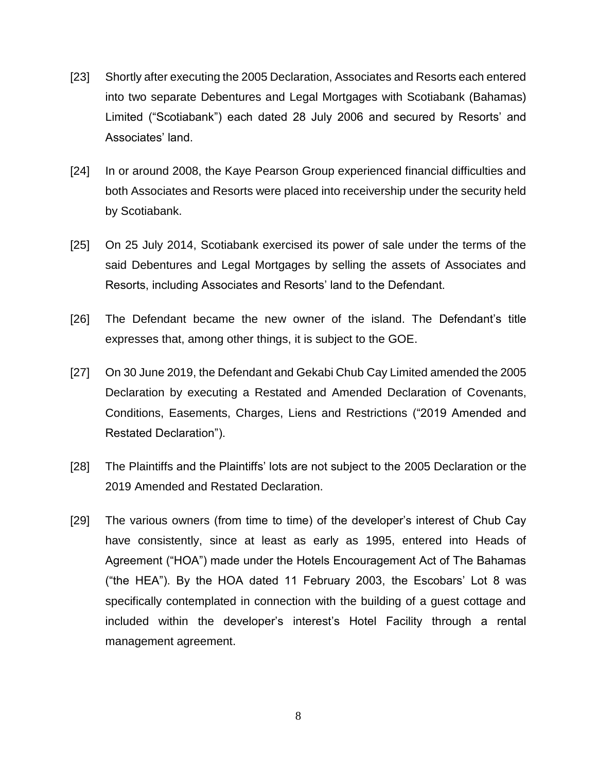- [23] Shortly after executing the 2005 Declaration, Associates and Resorts each entered into two separate Debentures and Legal Mortgages with Scotiabank (Bahamas) Limited ("Scotiabank") each dated 28 July 2006 and secured by Resorts' and Associates' land.
- [24] In or around 2008, the Kaye Pearson Group experienced financial difficulties and both Associates and Resorts were placed into receivership under the security held by Scotiabank.
- [25] On 25 July 2014, Scotiabank exercised its power of sale under the terms of the said Debentures and Legal Mortgages by selling the assets of Associates and Resorts, including Associates and Resorts' land to the Defendant.
- [26] The Defendant became the new owner of the island. The Defendant's title expresses that, among other things, it is subject to the GOE.
- [27] On 30 June 2019, the Defendant and Gekabi Chub Cay Limited amended the 2005 Declaration by executing a Restated and Amended Declaration of Covenants, Conditions, Easements, Charges, Liens and Restrictions ("2019 Amended and Restated Declaration").
- [28] The Plaintiffs and the Plaintiffs' lots are not subject to the 2005 Declaration or the 2019 Amended and Restated Declaration.
- [29] The various owners (from time to time) of the developer's interest of Chub Cay have consistently, since at least as early as 1995, entered into Heads of Agreement ("HOA") made under the Hotels Encouragement Act of The Bahamas ("the HEA"). By the HOA dated 11 February 2003, the Escobars' Lot 8 was specifically contemplated in connection with the building of a guest cottage and included within the developer's interest's Hotel Facility through a rental management agreement.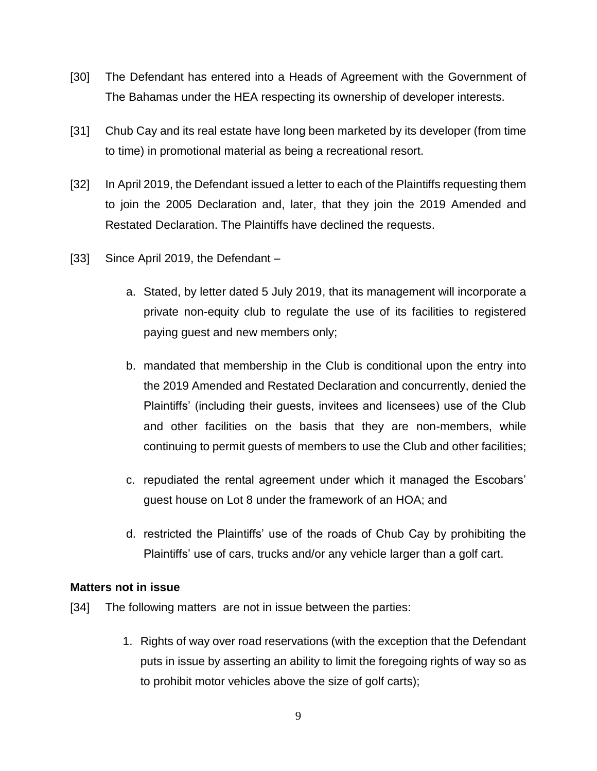- [30] The Defendant has entered into a Heads of Agreement with the Government of The Bahamas under the HEA respecting its ownership of developer interests.
- [31] Chub Cay and its real estate have long been marketed by its developer (from time to time) in promotional material as being a recreational resort.
- [32] In April 2019, the Defendant issued a letter to each of the Plaintiffs requesting them to join the 2005 Declaration and, later, that they join the 2019 Amended and Restated Declaration. The Plaintiffs have declined the requests.
- [33] Since April 2019, the Defendant
	- a. Stated, by letter dated 5 July 2019, that its management will incorporate a private non-equity club to regulate the use of its facilities to registered paying guest and new members only;
	- b. mandated that membership in the Club is conditional upon the entry into the 2019 Amended and Restated Declaration and concurrently, denied the Plaintiffs' (including their guests, invitees and licensees) use of the Club and other facilities on the basis that they are non-members, while continuing to permit guests of members to use the Club and other facilities;
	- c. repudiated the rental agreement under which it managed the Escobars' guest house on Lot 8 under the framework of an HOA; and
	- d. restricted the Plaintiffs' use of the roads of Chub Cay by prohibiting the Plaintiffs' use of cars, trucks and/or any vehicle larger than a golf cart.

## **Matters not in issue**

- [34] The following matters are not in issue between the parties:
	- 1. Rights of way over road reservations (with the exception that the Defendant puts in issue by asserting an ability to limit the foregoing rights of way so as to prohibit motor vehicles above the size of golf carts);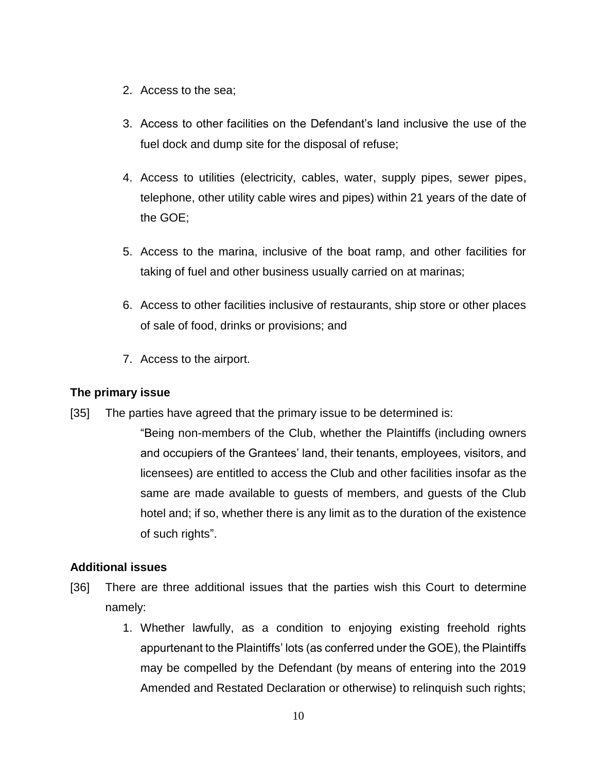- 2. Access to the sea;
- 3. Access to other facilities on the Defendant's land inclusive the use of the fuel dock and dump site for the disposal of refuse;
- 4. Access to utilities (electricity, cables, water, supply pipes, sewer pipes, telephone, other utility cable wires and pipes) within 21 years of the date of the GOE;
- 5. Access to the marina, inclusive of the boat ramp, and other facilities for taking of fuel and other business usually carried on at marinas;
- 6. Access to other facilities inclusive of restaurants, ship store or other places of sale of food, drinks or provisions; and
- 7. Access to the airport.

## **The primary issue**

- [35] The parties have agreed that the primary issue to be determined is:
	- "Being non-members of the Club, whether the Plaintiffs (including owners and occupiers of the Grantees' land, their tenants, employees, visitors, and licensees) are entitled to access the Club and other facilities insofar as the same are made available to guests of members, and guests of the Club hotel and; if so, whether there is any limit as to the duration of the existence of such rights".

## **Additional issues**

- [36] There are three additional issues that the parties wish this Court to determine namely:
	- 1. Whether lawfully, as a condition to enjoying existing freehold rights appurtenant to the Plaintiffs' lots (as conferred under the GOE), the Plaintiffs may be compelled by the Defendant (by means of entering into the 2019 Amended and Restated Declaration or otherwise) to relinquish such rights;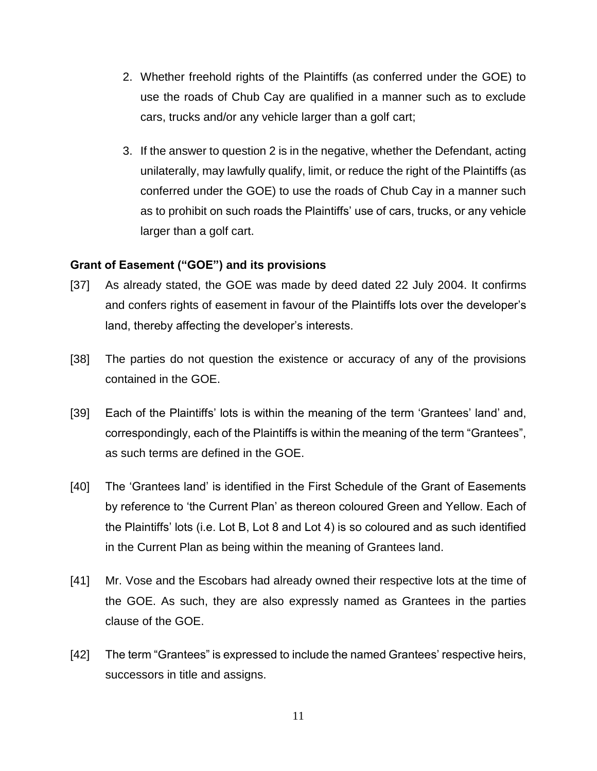- 2. Whether freehold rights of the Plaintiffs (as conferred under the GOE) to use the roads of Chub Cay are qualified in a manner such as to exclude cars, trucks and/or any vehicle larger than a golf cart;
- 3. If the answer to question 2 is in the negative, whether the Defendant, acting unilaterally, may lawfully qualify, limit, or reduce the right of the Plaintiffs (as conferred under the GOE) to use the roads of Chub Cay in a manner such as to prohibit on such roads the Plaintiffs' use of cars, trucks, or any vehicle larger than a golf cart.

## **Grant of Easement ("GOE") and its provisions**

- [37] As already stated, the GOE was made by deed dated 22 July 2004. It confirms and confers rights of easement in favour of the Plaintiffs lots over the developer's land, thereby affecting the developer's interests.
- [38] The parties do not question the existence or accuracy of any of the provisions contained in the GOE.
- [39] Each of the Plaintiffs' lots is within the meaning of the term 'Grantees' land' and, correspondingly, each of the Plaintiffs is within the meaning of the term "Grantees", as such terms are defined in the GOE.
- [40] The 'Grantees land' is identified in the First Schedule of the Grant of Easements by reference to 'the Current Plan' as thereon coloured Green and Yellow. Each of the Plaintiffs' lots (i.e. Lot B, Lot 8 and Lot 4) is so coloured and as such identified in the Current Plan as being within the meaning of Grantees land.
- [41] Mr. Vose and the Escobars had already owned their respective lots at the time of the GOE. As such, they are also expressly named as Grantees in the parties clause of the GOE.
- [42] The term "Grantees" is expressed to include the named Grantees' respective heirs, successors in title and assigns.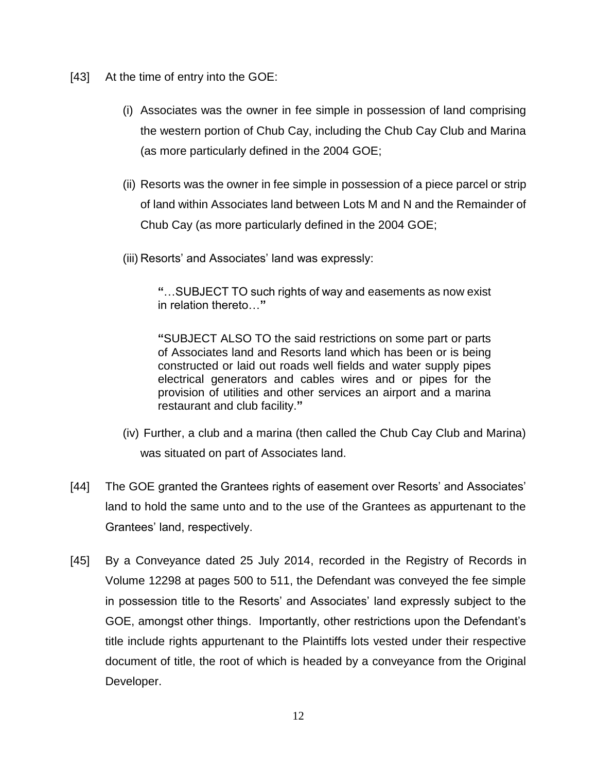- [43] At the time of entry into the GOE:
	- (i) Associates was the owner in fee simple in possession of land comprising the western portion of Chub Cay, including the Chub Cay Club and Marina (as more particularly defined in the 2004 GOE;
	- (ii) Resorts was the owner in fee simple in possession of a piece parcel or strip of land within Associates land between Lots M and N and the Remainder of Chub Cay (as more particularly defined in the 2004 GOE;
	- (iii) Resorts' and Associates' land was expressly:

**"**…SUBJECT TO such rights of way and easements as now exist in relation thereto…**"**

**"**SUBJECT ALSO TO the said restrictions on some part or parts of Associates land and Resorts land which has been or is being constructed or laid out roads well fields and water supply pipes electrical generators and cables wires and or pipes for the provision of utilities and other services an airport and a marina restaurant and club facility.**"**

- (iv) Further, a club and a marina (then called the Chub Cay Club and Marina) was situated on part of Associates land.
- [44] The GOE granted the Grantees rights of easement over Resorts' and Associates' land to hold the same unto and to the use of the Grantees as appurtenant to the Grantees' land, respectively.
- [45] By a Conveyance dated 25 July 2014, recorded in the Registry of Records in Volume 12298 at pages 500 to 511, the Defendant was conveyed the fee simple in possession title to the Resorts' and Associates' land expressly subject to the GOE, amongst other things. Importantly, other restrictions upon the Defendant's title include rights appurtenant to the Plaintiffs lots vested under their respective document of title, the root of which is headed by a conveyance from the Original Developer.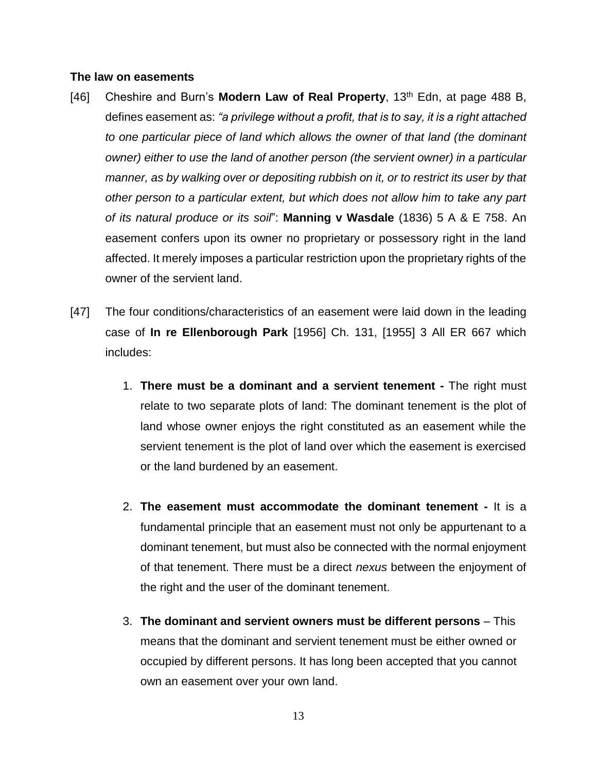#### **The law on easements**

- [46] Cheshire and Burn's **Modern Law of Real Property**, 13<sup>th</sup> Edn, at page 488 B, defines easement as: *"a privilege without a profit, that is to say, it is a right attached to one particular piece of land which allows the owner of that land (the dominant owner) either to use the land of another person (the servient owner) in a particular manner, as by walking over or depositing rubbish on it, or to restrict its user by that other person to a particular extent, but which does not allow him to take any part of its natural produce or its soil*": **Manning v Wasdale** (1836) 5 A & E 758. An easement confers upon its owner no proprietary or possessory right in the land affected. It merely imposes a particular restriction upon the proprietary rights of the owner of the servient land.
- [47] The four conditions/characteristics of an easement were laid down in the leading case of **In re Ellenborough Park** [1956] Ch. 131, [1955] 3 All ER 667 which includes:
	- 1. **There must be a dominant and a servient tenement -** The right must relate to two separate plots of land: The dominant tenement is the plot of land whose owner enjoys the right constituted as an easement while the servient tenement is the plot of land over which the easement is exercised or the land burdened by an easement.
	- 2. **The easement must accommodate the dominant tenement -** It is a fundamental principle that an easement must not only be appurtenant to a dominant tenement, but must also be connected with the normal enjoyment of that tenement. There must be a direct *nexus* between the enjoyment of the right and the user of the dominant tenement.
	- 3. **The dominant and servient owners must be different persons** This means that the dominant and servient tenement must be either owned or occupied by different persons. It has long been accepted that you cannot own an easement over your own land.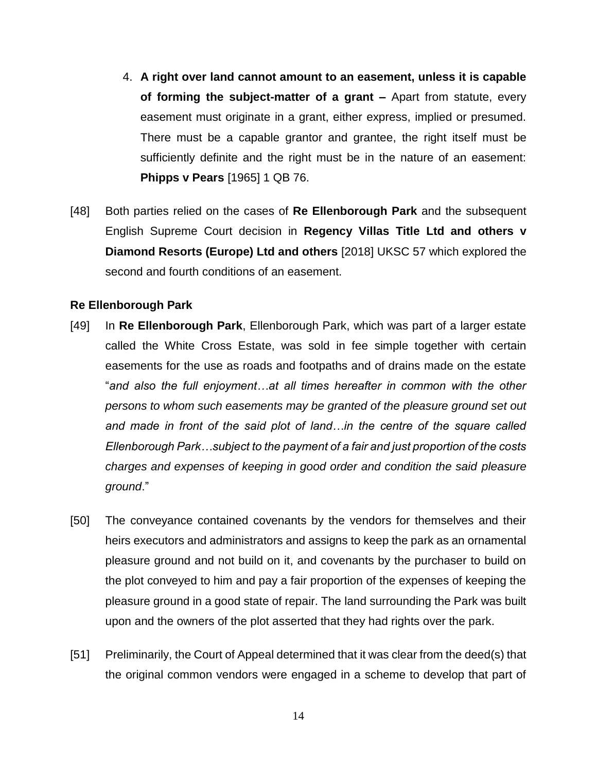- 4. **A right over land cannot amount to an easement, unless it is capable of forming the subject-matter of a grant –** Apart from statute, every easement must originate in a grant, either express, implied or presumed. There must be a capable grantor and grantee, the right itself must be sufficiently definite and the right must be in the nature of an easement: **Phipps v Pears** [1965] 1 QB 76.
- [48] Both parties relied on the cases of **Re Ellenborough Park** and the subsequent English Supreme Court decision in **Regency Villas Title Ltd and others v Diamond Resorts (Europe) Ltd and others** [2018] UKSC 57 which explored the second and fourth conditions of an easement.

#### **Re Ellenborough Park**

- [49] In **Re Ellenborough Park**, Ellenborough Park, which was part of a larger estate called the White Cross Estate, was sold in fee simple together with certain easements for the use as roads and footpaths and of drains made on the estate "*and also the full enjoyment…at all times hereafter in common with the other persons to whom such easements may be granted of the pleasure ground set out and made in front of the said plot of land…in the centre of the square called Ellenborough Park…subject to the payment of a fair and just proportion of the costs charges and expenses of keeping in good order and condition the said pleasure ground*."
- [50] The conveyance contained covenants by the vendors for themselves and their heirs executors and administrators and assigns to keep the park as an ornamental pleasure ground and not build on it, and covenants by the purchaser to build on the plot conveyed to him and pay a fair proportion of the expenses of keeping the pleasure ground in a good state of repair. The land surrounding the Park was built upon and the owners of the plot asserted that they had rights over the park.
- [51] Preliminarily, the Court of Appeal determined that it was clear from the deed(s) that the original common vendors were engaged in a scheme to develop that part of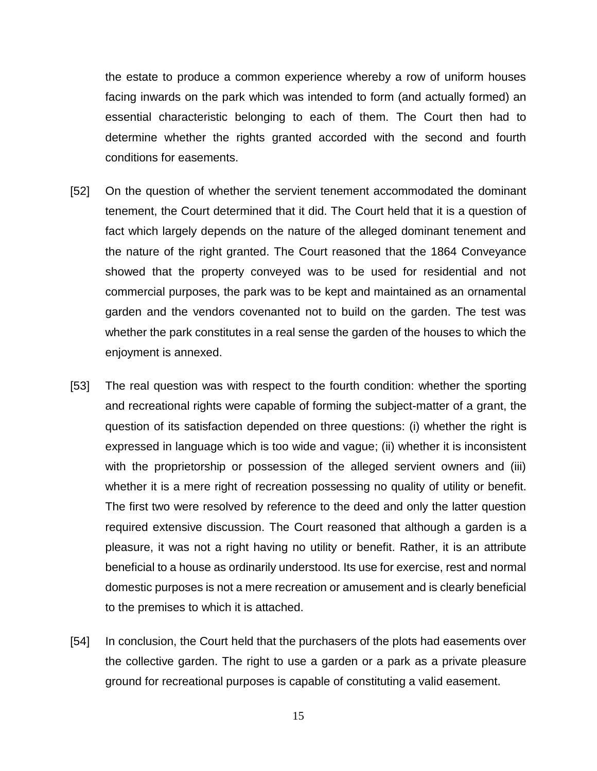the estate to produce a common experience whereby a row of uniform houses facing inwards on the park which was intended to form (and actually formed) an essential characteristic belonging to each of them. The Court then had to determine whether the rights granted accorded with the second and fourth conditions for easements.

- [52] On the question of whether the servient tenement accommodated the dominant tenement, the Court determined that it did. The Court held that it is a question of fact which largely depends on the nature of the alleged dominant tenement and the nature of the right granted. The Court reasoned that the 1864 Conveyance showed that the property conveyed was to be used for residential and not commercial purposes, the park was to be kept and maintained as an ornamental garden and the vendors covenanted not to build on the garden. The test was whether the park constitutes in a real sense the garden of the houses to which the enjoyment is annexed.
- [53] The real question was with respect to the fourth condition: whether the sporting and recreational rights were capable of forming the subject-matter of a grant, the question of its satisfaction depended on three questions: (i) whether the right is expressed in language which is too wide and vague; (ii) whether it is inconsistent with the proprietorship or possession of the alleged servient owners and (iii) whether it is a mere right of recreation possessing no quality of utility or benefit. The first two were resolved by reference to the deed and only the latter question required extensive discussion. The Court reasoned that although a garden is a pleasure, it was not a right having no utility or benefit. Rather, it is an attribute beneficial to a house as ordinarily understood. Its use for exercise, rest and normal domestic purposes is not a mere recreation or amusement and is clearly beneficial to the premises to which it is attached.
- [54] In conclusion, the Court held that the purchasers of the plots had easements over the collective garden. The right to use a garden or a park as a private pleasure ground for recreational purposes is capable of constituting a valid easement.

15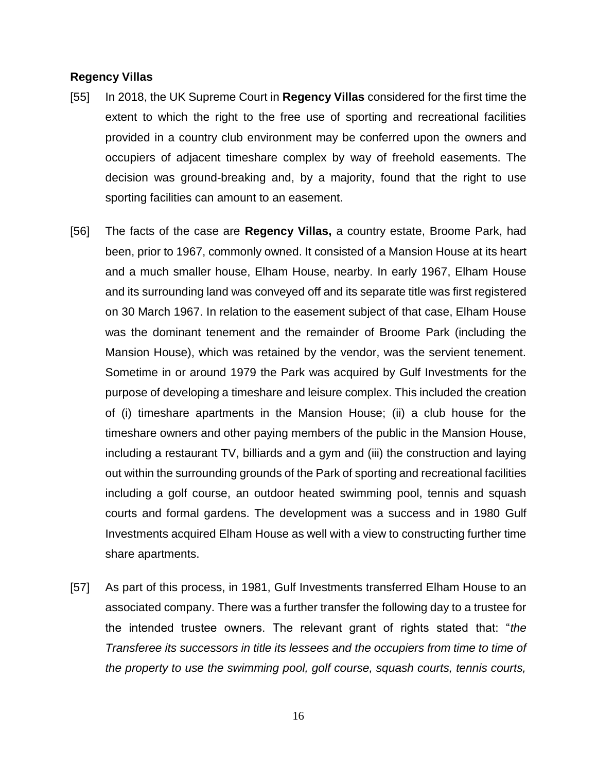#### **Regency Villas**

- [55] In 2018, the UK Supreme Court in **Regency Villas** considered for the first time the extent to which the right to the free use of sporting and recreational facilities provided in a country club environment may be conferred upon the owners and occupiers of adjacent timeshare complex by way of freehold easements. The decision was ground-breaking and, by a majority, found that the right to use sporting facilities can amount to an easement.
- [56] The facts of the case are **Regency Villas,** a country estate, Broome Park, had been, prior to 1967, commonly owned. It consisted of a Mansion House at its heart and a much smaller house, Elham House, nearby. In early 1967, Elham House and its surrounding land was conveyed off and its separate title was first registered on 30 March 1967. In relation to the easement subject of that case, Elham House was the dominant tenement and the remainder of Broome Park (including the Mansion House), which was retained by the vendor, was the servient tenement. Sometime in or around 1979 the Park was acquired by Gulf Investments for the purpose of developing a timeshare and leisure complex. This included the creation of (i) timeshare apartments in the Mansion House; (ii) a club house for the timeshare owners and other paying members of the public in the Mansion House, including a restaurant TV, billiards and a gym and (iii) the construction and laying out within the surrounding grounds of the Park of sporting and recreational facilities including a golf course, an outdoor heated swimming pool, tennis and squash courts and formal gardens. The development was a success and in 1980 Gulf Investments acquired Elham House as well with a view to constructing further time share apartments.
- [57] As part of this process, in 1981, Gulf Investments transferred Elham House to an associated company. There was a further transfer the following day to a trustee for the intended trustee owners. The relevant grant of rights stated that: "*the Transferee its successors in title its lessees and the occupiers from time to time of the property to use the swimming pool, golf course, squash courts, tennis courts,*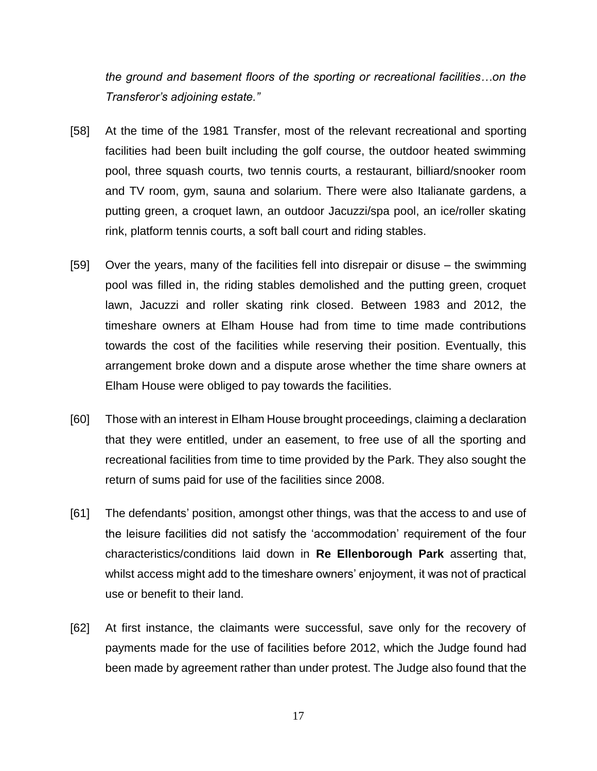*the ground and basement floors of the sporting or recreational facilities…on the Transferor's adjoining estate."*

- [58] At the time of the 1981 Transfer, most of the relevant recreational and sporting facilities had been built including the golf course, the outdoor heated swimming pool, three squash courts, two tennis courts, a restaurant, billiard/snooker room and TV room, gym, sauna and solarium. There were also Italianate gardens, a putting green, a croquet lawn, an outdoor Jacuzzi/spa pool, an ice/roller skating rink, platform tennis courts, a soft ball court and riding stables.
- [59] Over the years, many of the facilities fell into disrepair or disuse the swimming pool was filled in, the riding stables demolished and the putting green, croquet lawn, Jacuzzi and roller skating rink closed. Between 1983 and 2012, the timeshare owners at Elham House had from time to time made contributions towards the cost of the facilities while reserving their position. Eventually, this arrangement broke down and a dispute arose whether the time share owners at Elham House were obliged to pay towards the facilities.
- [60] Those with an interest in Elham House brought proceedings, claiming a declaration that they were entitled, under an easement, to free use of all the sporting and recreational facilities from time to time provided by the Park. They also sought the return of sums paid for use of the facilities since 2008.
- [61] The defendants' position, amongst other things, was that the access to and use of the leisure facilities did not satisfy the 'accommodation' requirement of the four characteristics/conditions laid down in **Re Ellenborough Park** asserting that, whilst access might add to the timeshare owners' enjoyment, it was not of practical use or benefit to their land.
- [62] At first instance, the claimants were successful, save only for the recovery of payments made for the use of facilities before 2012, which the Judge found had been made by agreement rather than under protest. The Judge also found that the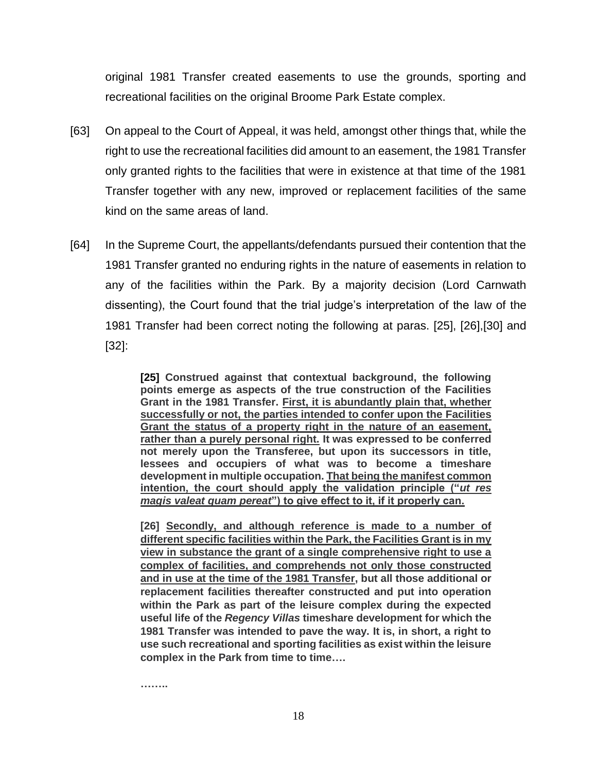original 1981 Transfer created easements to use the grounds, sporting and recreational facilities on the original Broome Park Estate complex.

- [63] On appeal to the Court of Appeal, it was held, amongst other things that, while the right to use the recreational facilities did amount to an easement, the 1981 Transfer only granted rights to the facilities that were in existence at that time of the 1981 Transfer together with any new, improved or replacement facilities of the same kind on the same areas of land.
- [64] In the Supreme Court, the appellants/defendants pursued their contention that the 1981 Transfer granted no enduring rights in the nature of easements in relation to any of the facilities within the Park. By a majority decision (Lord Carnwath dissenting), the Court found that the trial judge's interpretation of the law of the 1981 Transfer had been correct noting the following at paras. [25], [26],[30] and [32]:

**[25] Construed against that contextual background, the following points emerge as aspects of the true construction of the Facilities Grant in the 1981 Transfer. First, it is abundantly plain that, whether successfully or not, the parties intended to confer upon the Facilities Grant the status of a property right in the nature of an easement, rather than a purely personal right. It was expressed to be conferred not merely upon the Transferee, but upon its successors in title, lessees and occupiers of what was to become a timeshare development in multiple occupation. That being the manifest common intention, the court should apply the validation principle ("***ut res magis valeat quam pereat***") to give effect to it, if it properly can.**

**[26] Secondly, and although reference is made to a number of different specific facilities within the Park, the Facilities Grant is in my view in substance the grant of a single comprehensive right to use a complex of facilities, and comprehends not only those constructed and in use at the time of the 1981 Transfer, but all those additional or replacement facilities thereafter constructed and put into operation within the Park as part of the leisure complex during the expected useful life of the** *Regency Villas* **timeshare development for which the 1981 Transfer was intended to pave the way. It is, in short, a right to use such recreational and sporting facilities as exist within the leisure complex in the Park from time to time….**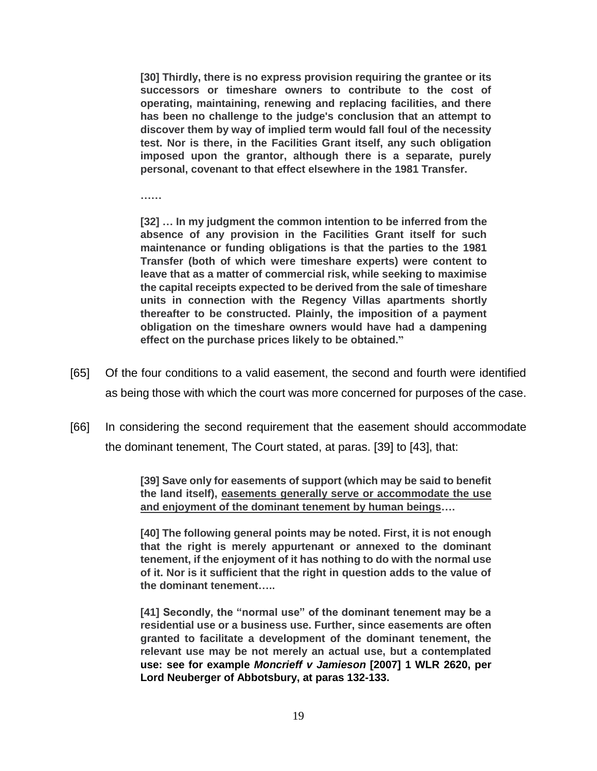**[30] Thirdly, there is no express provision requiring the grantee or its successors or timeshare owners to contribute to the cost of operating, maintaining, renewing and replacing facilities, and there has been no challenge to the judge's conclusion that an attempt to discover them by way of implied term would fall foul of the necessity test. Nor is there, in the Facilities Grant itself, any such obligation imposed upon the grantor, although there is a separate, purely personal, covenant to that effect elsewhere in the 1981 Transfer.**

**……**

**[32] … In my judgment the common intention to be inferred from the absence of any provision in the Facilities Grant itself for such maintenance or funding obligations is that the parties to the 1981 Transfer (both of which were timeshare experts) were content to leave that as a matter of commercial risk, while seeking to maximise the capital receipts expected to be derived from the sale of timeshare units in connection with the Regency Villas apartments shortly thereafter to be constructed. Plainly, the imposition of a payment obligation on the timeshare owners would have had a dampening effect on the purchase prices likely to be obtained."**

- [65] Of the four conditions to a valid easement, the second and fourth were identified as being those with which the court was more concerned for purposes of the case.
- [66] In considering the second requirement that the easement should accommodate the dominant tenement, The Court stated, at paras. [39] to [43], that:

**[39] Save only for easements of support (which may be said to benefit the land itself), easements generally serve or accommodate the use and enjoyment of the dominant tenement by human beings….**

**[40] The following general points may be noted. First, it is not enough that the right is merely appurtenant or annexed to the dominant tenement, if the enjoyment of it has nothing to do with the normal use of it. Nor is it sufficient that the right in question adds to the value of the dominant tenement…..**

**[41] Secondly, the "normal use" of the dominant tenement may be a residential use or a business use. Further, since easements are often granted to facilitate a development of the dominant tenement, the relevant use may be not merely an actual use, but a contemplated use: see for example** *Moncrieff v Jamieson* **[\[2007\] 1 WLR 2620,](https://www.lexisnexis.com/uk/legal/search/enhRunRemoteLink.do?linkInfo=F%23GB%23WLR%23sel1%252007%25vol%251%25year%252007%25page%252620%25sel2%251%25&A=0.5090192760782273&backKey=20_T541333978&service=citation&ersKey=23_T541333945&langcountry=GB) per Lord Neuberger of Abbotsbury, at paras 132-133.**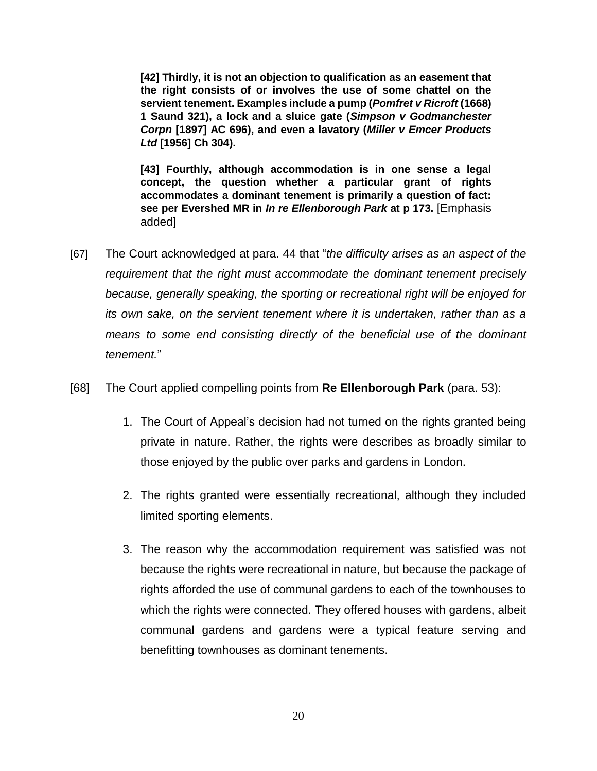**[42] Thirdly, it is not an objection to qualification as an easement that the right consists of or involves the use of some chattel on the servient tenement. Examples include a pump (***Pomfret v Ricroft* **(1668) 1 Saund 321), a lock and a sluice gate (***Simpson v Godmanchester Corpn* **[\[1897\] AC 696\)](https://www.lexisnexis.com/uk/legal/search/enhRunRemoteLink.do?linkInfo=F%23GB%23AC%23sel1%251897%25year%251897%25page%25696%25&A=0.24727168887485784&backKey=20_T541333978&service=citation&ersKey=23_T541333945&langcountry=GB), and even a lavatory (***Miller v Emcer Products Ltd* **[\[1956\] Ch 304\)](https://www.lexisnexis.com/uk/legal/search/enhRunRemoteLink.do?linkInfo=F%23GB%23CH%23sel1%251956%25year%251956%25page%25304%25&A=0.0885420398106217&backKey=20_T541333978&service=citation&ersKey=23_T541333945&langcountry=GB).**

**[43] Fourthly, although accommodation is in one sense a legal concept, the question whether a particular grant of rights accommodates a dominant tenement is primarily a question of fact: see per Evershed MR in** *In re Ellenborough Park* **at p 173.** [Emphasis added]

- [67] The Court acknowledged at para. 44 that "*the difficulty arises as an aspect of the requirement that the right must accommodate the dominant tenement precisely because, generally speaking, the sporting or recreational right will be enjoyed for its own sake, on the servient tenement where it is undertaken, rather than as a means to some end consisting directly of the beneficial use of the dominant tenement.*"
- [68] The Court applied compelling points from **Re Ellenborough Park** (para. 53):
	- 1. The Court of Appeal's decision had not turned on the rights granted being private in nature. Rather, the rights were describes as broadly similar to those enjoyed by the public over parks and gardens in London.
	- 2. The rights granted were essentially recreational, although they included limited sporting elements.
	- 3. The reason why the accommodation requirement was satisfied was not because the rights were recreational in nature, but because the package of rights afforded the use of communal gardens to each of the townhouses to which the rights were connected. They offered houses with gardens, albeit communal gardens and gardens were a typical feature serving and benefitting townhouses as dominant tenements.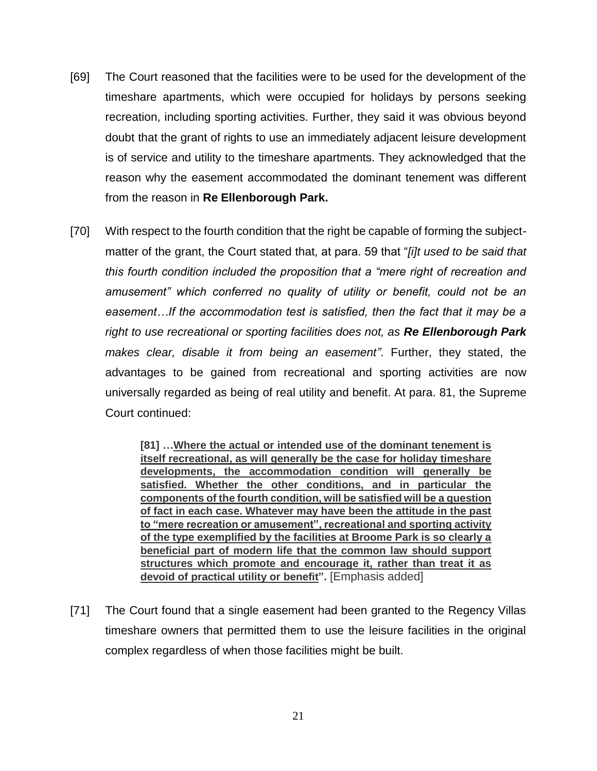- [69] The Court reasoned that the facilities were to be used for the development of the timeshare apartments, which were occupied for holidays by persons seeking recreation, including sporting activities. Further, they said it was obvious beyond doubt that the grant of rights to use an immediately adjacent leisure development is of service and utility to the timeshare apartments. They acknowledged that the reason why the easement accommodated the dominant tenement was different from the reason in **Re Ellenborough Park.**
- [70] With respect to the fourth condition that the right be capable of forming the subjectmatter of the grant, the Court stated that, at para. 59 that "*[i]t used to be said that this fourth condition included the proposition that a "mere right of recreation and amusement" which conferred no quality of utility or benefit, could not be an easement…If the accommodation test is satisfied, then the fact that it may be a right to use recreational or sporting facilities does not, as Re Ellenborough Park makes clear, disable it from being an easement"*. Further, they stated, the advantages to be gained from recreational and sporting activities are now universally regarded as being of real utility and benefit. At para. 81, the Supreme Court continued:

**[81] …Where the actual or intended use of the dominant tenement is itself recreational, as will generally be the case for holiday timeshare developments, the accommodation condition will generally be satisfied. Whether the other conditions, and in particular the components of the fourth condition, will be satisfied will be a question of fact in each case. Whatever may have been the attitude in the past to "mere recreation or amusement", recreational and sporting activity of the type exemplified by the facilities at Broome Park is so clearly a beneficial part of modern life that the common law should support structures which promote and encourage it, rather than treat it as devoid of practical utility or benefit".** [Emphasis added]

[71] The Court found that a single easement had been granted to the Regency Villas timeshare owners that permitted them to use the leisure facilities in the original complex regardless of when those facilities might be built.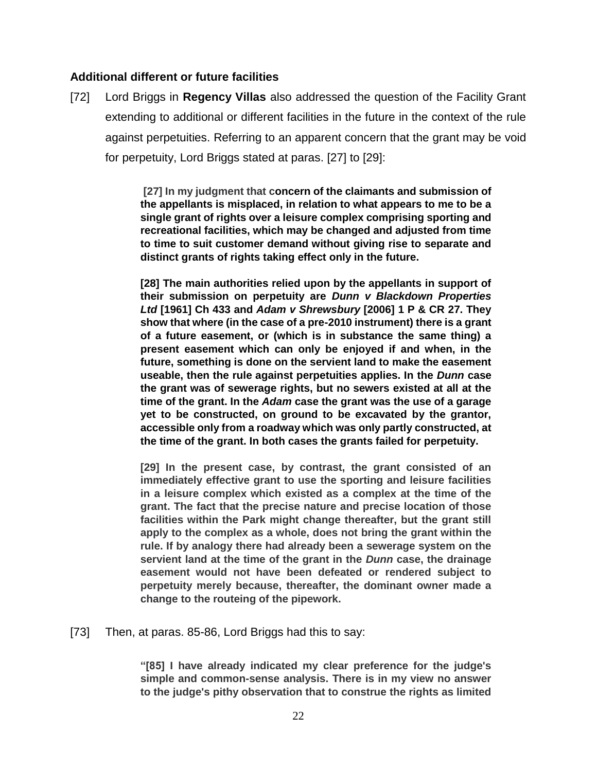## **Additional different or future facilities**

[72] Lord Briggs in **Regency Villas** also addressed the question of the Facility Grant extending to additional or different facilities in the future in the context of the rule against perpetuities. Referring to an apparent concern that the grant may be void for perpetuity, Lord Briggs stated at paras. [27] to [29]:

> **[27] In my judgment that concern of the claimants and submission of the appellants is misplaced, in relation to what appears to me to be a single grant of rights over a leisure complex comprising sporting and recreational facilities, which may be changed and adjusted from time to time to suit customer demand without giving rise to separate and distinct grants of rights taking effect only in the future.**

> **[28] The main authorities relied upon by the appellants in support of their submission on perpetuity are** *Dunn v Blackdown Properties Ltd* **[\[1961\] Ch 433](https://www.lexisnexis.com/uk/legal/search/enhRunRemoteLink.do?linkInfo=F%23GB%23CH%23sel1%251961%25year%251961%25page%25433%25&A=0.2504114816134506&backKey=20_T541333978&service=citation&ersKey=23_T541333945&langcountry=GB) and** *Adam v Shrewsbury* **[2006] 1 P & CR 27. They show that where (in the case of a pre-2010 instrument) there is a grant of a future easement, or (which is in substance the same thing) a present easement which can only be enjoyed if and when, in the future, something is done on the servient land to make the easement useable, then the rule against perpetuities applies. In the** *Dunn* **case the grant was of sewerage rights, but no sewers existed at all at the time of the grant. In the** *Adam* **case the grant was the use of a garage yet to be constructed, on ground to be excavated by the grantor, accessible only from a roadway which was only partly constructed, at the time of the grant. In both cases the grants failed for perpetuity.**

> **[29] In the present case, by contrast, the grant consisted of an immediately effective grant to use the sporting and leisure facilities in a leisure complex which existed as a complex at the time of the grant. The fact that the precise nature and precise location of those facilities within the Park might change thereafter, but the grant still apply to the complex as a whole, does not bring the grant within the rule. If by analogy there had already been a sewerage system on the servient land at the time of the grant in the** *Dunn* **case, the drainage easement would not have been defeated or rendered subject to perpetuity merely because, thereafter, the dominant owner made a change to the routeing of the pipework.**

[73] Then, at paras. 85-86, Lord Briggs had this to say:

**"[85] I have already indicated my clear preference for the judge's simple and common-sense analysis. There is in my view no answer to the judge's pithy observation that to construe the rights as limited**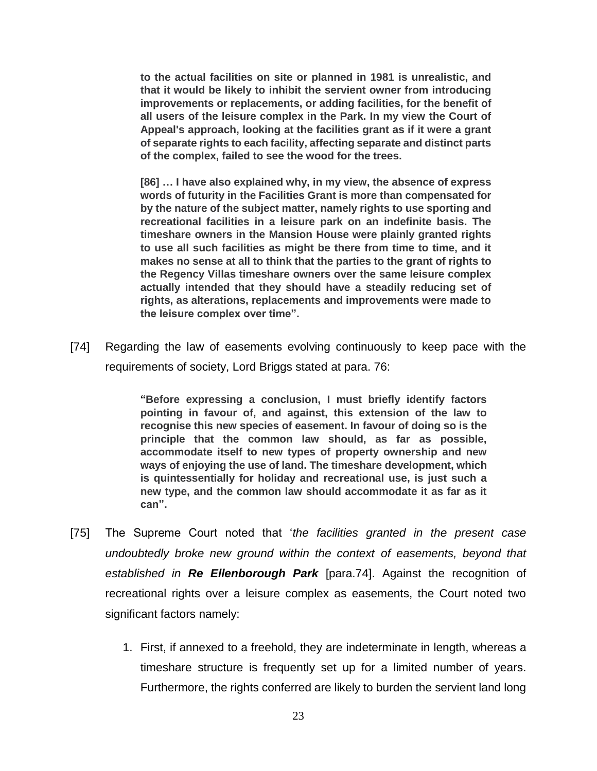**to the actual facilities on site or planned in 1981 is unrealistic, and that it would be likely to inhibit the servient owner from introducing improvements or replacements, or adding facilities, for the benefit of all users of the leisure complex in the Park. In my view the Court of Appeal's approach, looking at the facilities grant as if it were a grant of separate rights to each facility, affecting separate and distinct parts of the complex, failed to see the wood for the trees.**

**[86] … I have also explained why, in my view, the absence of express words of futurity in the Facilities Grant is more than compensated for by the nature of the subject matter, namely rights to use sporting and recreational facilities in a leisure park on an indefinite basis. The timeshare owners in the Mansion House were plainly granted rights to use all such facilities as might be there from time to time, and it makes no sense at all to think that the parties to the grant of rights to the Regency Villas timeshare owners over the same leisure complex actually intended that they should have a steadily reducing set of rights, as alterations, replacements and improvements were made to the leisure complex over time".**

[74] Regarding the law of easements evolving continuously to keep pace with the requirements of society, Lord Briggs stated at para. 76:

> **"Before expressing a conclusion, I must briefly identify factors pointing in favour of, and against, this extension of the law to recognise this new species of easement. In favour of doing so is the principle that the common law should, as far as possible, accommodate itself to new types of property ownership and new ways of enjoying the use of land. The timeshare development, which is quintessentially for holiday and recreational use, is just such a new type, and the common law should accommodate it as far as it can".**

- [75] The Supreme Court noted that '*the facilities granted in the present case undoubtedly broke new ground within the context of easements, beyond that established in Re Ellenborough Park* [para.74]. Against the recognition of recreational rights over a leisure complex as easements, the Court noted two significant factors namely:
	- 1. First, if annexed to a freehold, they are indeterminate in length, whereas a timeshare structure is frequently set up for a limited number of years. Furthermore, the rights conferred are likely to burden the servient land long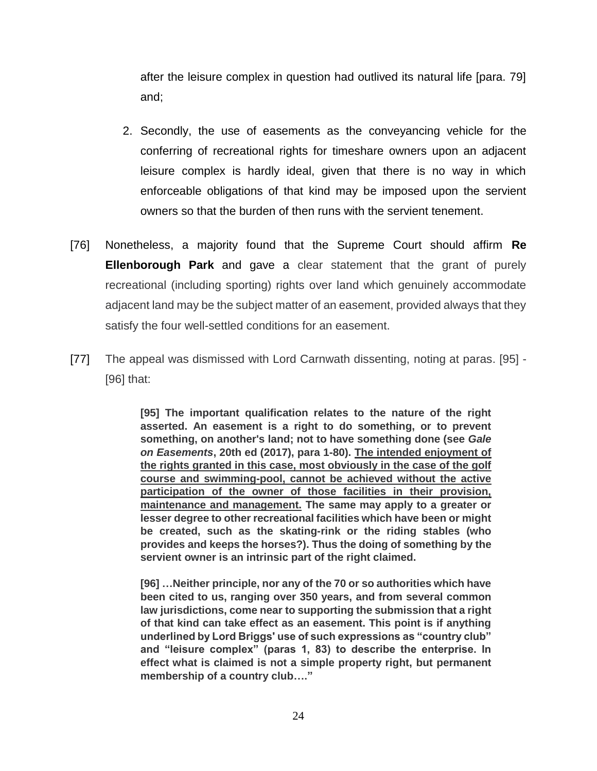after the leisure complex in question had outlived its natural life [para. 79] and;

- 2. Secondly, the use of easements as the conveyancing vehicle for the conferring of recreational rights for timeshare owners upon an adjacent leisure complex is hardly ideal, given that there is no way in which enforceable obligations of that kind may be imposed upon the servient owners so that the burden of then runs with the servient tenement.
- [76] Nonetheless, a majority found that the Supreme Court should affirm **Re Ellenborough Park** and gave a clear statement that the grant of purely recreational (including sporting) rights over land which genuinely accommodate adjacent land may be the subject matter of an easement, provided always that they satisfy the four well-settled conditions for an easement.
- [77] The appeal was dismissed with Lord Carnwath dissenting, noting at paras. [95] [96] that:

**[95] The important qualification relates to the nature of the right asserted. An easement is a right to do something, or to prevent something, on another's land; not to have something done (see** *Gale on Easements***, 20th ed (2017), para 1-80). The intended enjoyment of the rights granted in this case, most obviously in the case of the golf course and swimming-pool, cannot be achieved without the active participation of the owner of those facilities in their provision, maintenance and management. The same may apply to a greater or lesser degree to other recreational facilities which have been or might be created, such as the skating-rink or the riding stables (who provides and keeps the horses?). Thus the doing of something by the servient owner is an intrinsic part of the right claimed.**

**[96] …Neither principle, nor any of the 70 or so authorities which have been cited to us, ranging over 350 years, and from several common law jurisdictions, come near to supporting the submission that a right of that kind can take effect as an easement. This point is if anything underlined by Lord Briggs' use of such expressions as "country club" and "leisure complex" (paras 1, 83) to describe the enterprise. In effect what is claimed is not a simple property right, but permanent membership of a country club…."**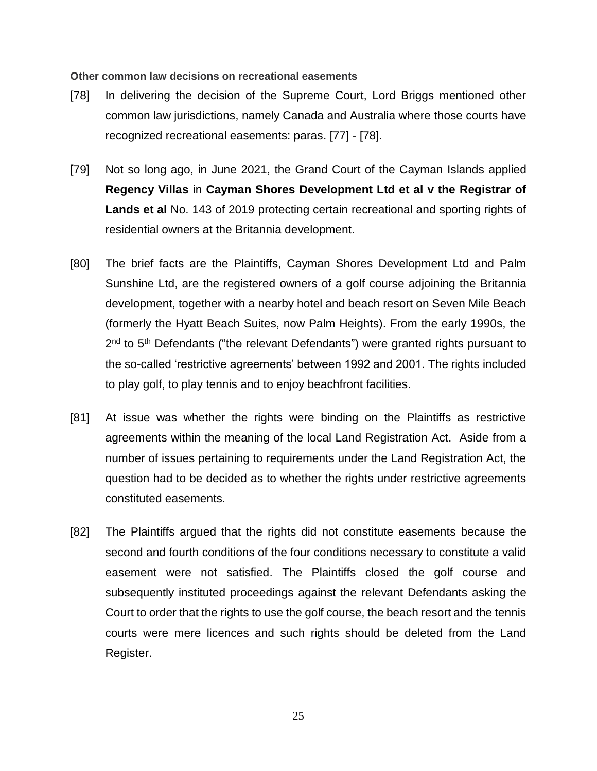**Other common law decisions on recreational easements**

- [78] In delivering the decision of the Supreme Court, Lord Briggs mentioned other common law jurisdictions, namely Canada and Australia where those courts have recognized recreational easements: paras. [77] - [78].
- [79] Not so long ago, in June 2021, the Grand Court of the Cayman Islands applied **Regency Villas** in **Cayman Shores Development Ltd et al v the Registrar of Lands et al** No. 143 of 2019 protecting certain recreational and sporting rights of residential owners at the Britannia development.
- [80] The brief facts are the Plaintiffs, Cayman Shores Development Ltd and Palm Sunshine Ltd, are the registered owners of a golf course adjoining the Britannia development, together with a nearby hotel and beach resort on Seven Mile Beach (formerly the Hyatt Beach Suites, now Palm Heights). From the early 1990s, the 2<sup>nd</sup> to 5<sup>th</sup> Defendants ("the relevant Defendants") were granted rights pursuant to the so-called 'restrictive agreements' between 1992 and 2001. The rights included to play golf, to play tennis and to enjoy beachfront facilities.
- [81] At issue was whether the rights were binding on the Plaintiffs as restrictive agreements within the meaning of the local Land Registration Act. Aside from a number of issues pertaining to requirements under the Land Registration Act, the question had to be decided as to whether the rights under restrictive agreements constituted easements.
- [82] The Plaintiffs argued that the rights did not constitute easements because the second and fourth conditions of the four conditions necessary to constitute a valid easement were not satisfied. The Plaintiffs closed the golf course and subsequently instituted proceedings against the relevant Defendants asking the Court to order that the rights to use the golf course, the beach resort and the tennis courts were mere licences and such rights should be deleted from the Land Register.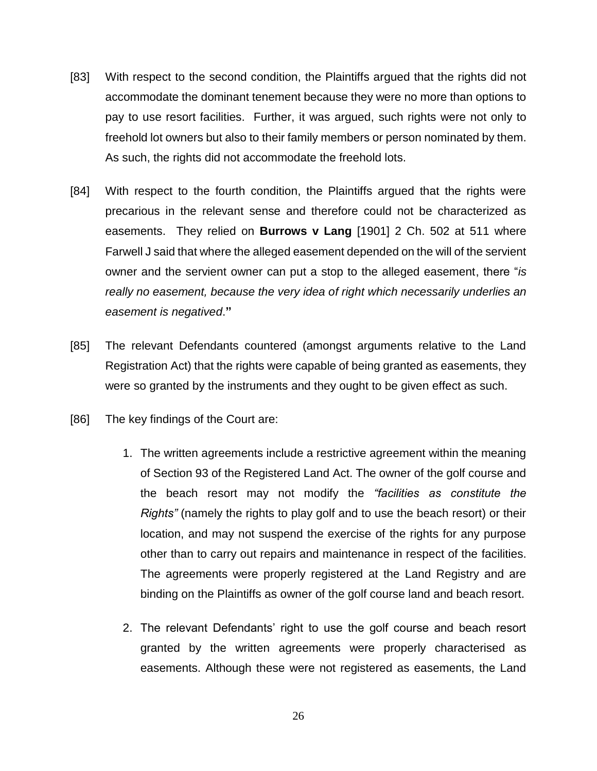- [83] With respect to the second condition, the Plaintiffs argued that the rights did not accommodate the dominant tenement because they were no more than options to pay to use resort facilities. Further, it was argued, such rights were not only to freehold lot owners but also to their family members or person nominated by them. As such, the rights did not accommodate the freehold lots.
- [84] With respect to the fourth condition, the Plaintiffs argued that the rights were precarious in the relevant sense and therefore could not be characterized as easements. They relied on **Burrows v Lang** [1901] 2 Ch. 502 at 511 where Farwell J said that where the alleged easement depended on the will of the servient owner and the servient owner can put a stop to the alleged easement, there "*is really no easement, because the very idea of right which necessarily underlies an easement is negatived*.**"**
- [85] The relevant Defendants countered (amongst arguments relative to the Land Registration Act) that the rights were capable of being granted as easements, they were so granted by the instruments and they ought to be given effect as such.
- [86] The key findings of the Court are:
	- 1. The written agreements include a restrictive agreement within the meaning of Section 93 of the Registered Land Act. The owner of the golf course and the beach resort may not modify the *"facilities as constitute the Rights"* (namely the rights to play golf and to use the beach resort) or their location, and may not suspend the exercise of the rights for any purpose other than to carry out repairs and maintenance in respect of the facilities. The agreements were properly registered at the Land Registry and are binding on the Plaintiffs as owner of the golf course land and beach resort.
	- 2. The relevant Defendants' right to use the golf course and beach resort granted by the written agreements were properly characterised as easements. Although these were not registered as easements, the Land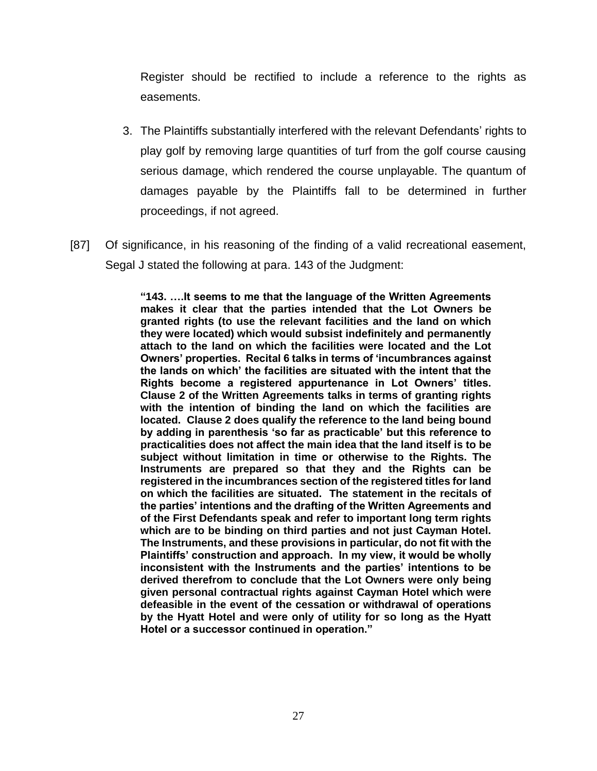Register should be rectified to include a reference to the rights as easements.

- 3. The Plaintiffs substantially interfered with the relevant Defendants' rights to play golf by removing large quantities of turf from the golf course causing serious damage, which rendered the course unplayable. The quantum of damages payable by the Plaintiffs fall to be determined in further proceedings, if not agreed.
- [87] Of significance, in his reasoning of the finding of a valid recreational easement, Segal J stated the following at para. 143 of the Judgment:

**"143. ….It seems to me that the language of the Written Agreements makes it clear that the parties intended that the Lot Owners be granted rights (to use the relevant facilities and the land on which they were located) which would subsist indefinitely and permanently attach to the land on which the facilities were located and the Lot Owners' properties. Recital 6 talks in terms of 'incumbrances against the lands on which' the facilities are situated with the intent that the Rights become a registered appurtenance in Lot Owners' titles. Clause 2 of the Written Agreements talks in terms of granting rights with the intention of binding the land on which the facilities are located. Clause 2 does qualify the reference to the land being bound by adding in parenthesis 'so far as practicable' but this reference to practicalities does not affect the main idea that the land itself is to be subject without limitation in time or otherwise to the Rights. The Instruments are prepared so that they and the Rights can be registered in the incumbrances section of the registered titles for land on which the facilities are situated. The statement in the recitals of the parties' intentions and the drafting of the Written Agreements and of the First Defendants speak and refer to important long term rights which are to be binding on third parties and not just Cayman Hotel. The Instruments, and these provisions in particular, do not fit with the Plaintiffs' construction and approach. In my view, it would be wholly inconsistent with the Instruments and the parties' intentions to be derived therefrom to conclude that the Lot Owners were only being given personal contractual rights against Cayman Hotel which were defeasible in the event of the cessation or withdrawal of operations by the Hyatt Hotel and were only of utility for so long as the Hyatt Hotel or a successor continued in operation."**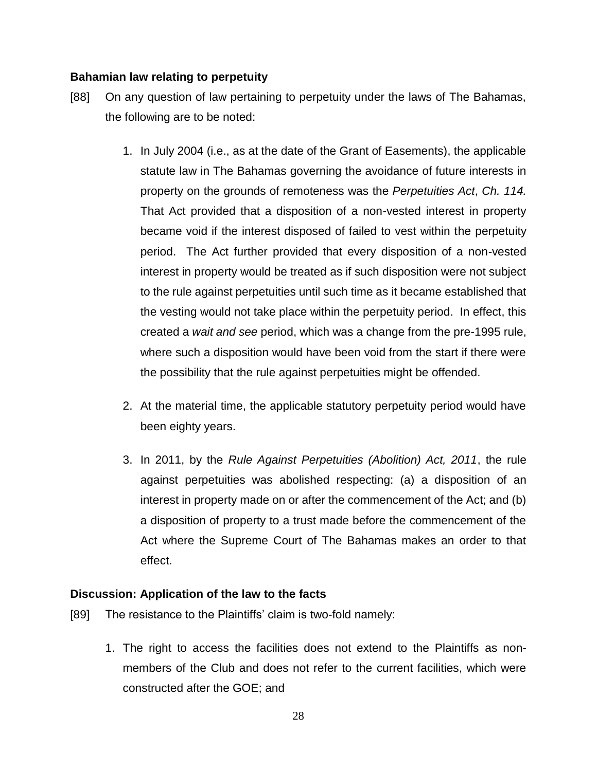## **Bahamian law relating to perpetuity**

- [88] On any question of law pertaining to perpetuity under the laws of The Bahamas, the following are to be noted:
	- 1. In July 2004 (i.e., as at the date of the Grant of Easements), the applicable statute law in The Bahamas governing the avoidance of future interests in property on the grounds of remoteness was the *Perpetuities Act*, *Ch. 114.* That Act provided that a disposition of a non-vested interest in property became void if the interest disposed of failed to vest within the perpetuity period. The Act further provided that every disposition of a non-vested interest in property would be treated as if such disposition were not subject to the rule against perpetuities until such time as it became established that the vesting would not take place within the perpetuity period. In effect, this created a *wait and see* period, which was a change from the pre-1995 rule, where such a disposition would have been void from the start if there were the possibility that the rule against perpetuities might be offended.
	- 2. At the material time, the applicable statutory perpetuity period would have been eighty years.
	- 3. In 2011, by the *Rule Against Perpetuities (Abolition) Act, 2011*, the rule against perpetuities was abolished respecting: (a) a disposition of an interest in property made on or after the commencement of the Act; and (b) a disposition of property to a trust made before the commencement of the Act where the Supreme Court of The Bahamas makes an order to that effect.

#### **Discussion: Application of the law to the facts**

- [89] The resistance to the Plaintiffs' claim is two-fold namely:
	- 1. The right to access the facilities does not extend to the Plaintiffs as nonmembers of the Club and does not refer to the current facilities, which were constructed after the GOE; and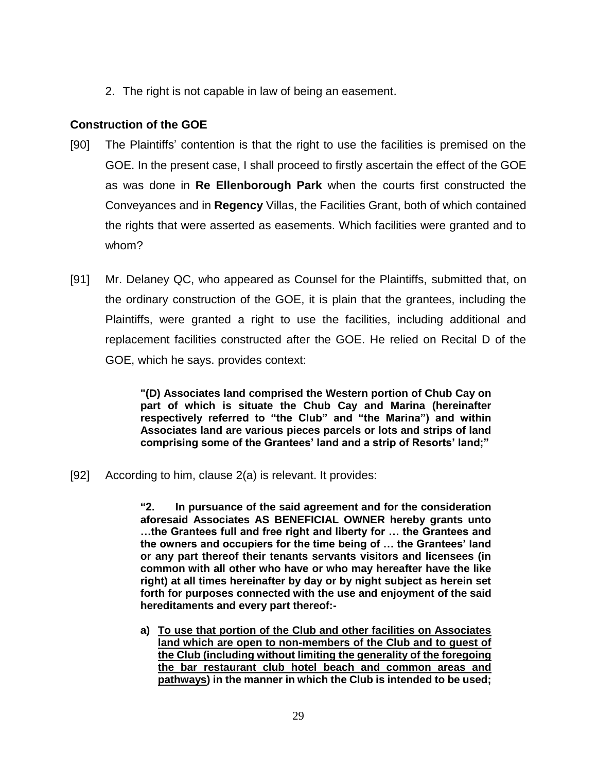2. The right is not capable in law of being an easement.

## **Construction of the GOE**

- [90] The Plaintiffs' contention is that the right to use the facilities is premised on the GOE. In the present case, I shall proceed to firstly ascertain the effect of the GOE as was done in **Re Ellenborough Park** when the courts first constructed the Conveyances and in **Regency** Villas, the Facilities Grant, both of which contained the rights that were asserted as easements. Which facilities were granted and to whom?
- [91] Mr. Delaney QC, who appeared as Counsel for the Plaintiffs, submitted that, on the ordinary construction of the GOE, it is plain that the grantees, including the Plaintiffs, were granted a right to use the facilities, including additional and replacement facilities constructed after the GOE. He relied on Recital D of the GOE, which he says. provides context:

**"(D) Associates land comprised the Western portion of Chub Cay on part of which is situate the Chub Cay and Marina (hereinafter respectively referred to "the Club" and "the Marina") and within Associates land are various pieces parcels or lots and strips of land comprising some of the Grantees' land and a strip of Resorts' land;"**

[92] According to him, clause 2(a) is relevant. It provides:

**"2. In pursuance of the said agreement and for the consideration aforesaid Associates AS BENEFICIAL OWNER hereby grants unto …the Grantees full and free right and liberty for … the Grantees and the owners and occupiers for the time being of … the Grantees' land or any part thereof their tenants servants visitors and licensees (in common with all other who have or who may hereafter have the like right) at all times hereinafter by day or by night subject as herein set forth for purposes connected with the use and enjoyment of the said hereditaments and every part thereof:-**

**a) To use that portion of the Club and other facilities on Associates land which are open to non-members of the Club and to guest of the Club (including without limiting the generality of the foregoing the bar restaurant club hotel beach and common areas and pathways) in the manner in which the Club is intended to be used;**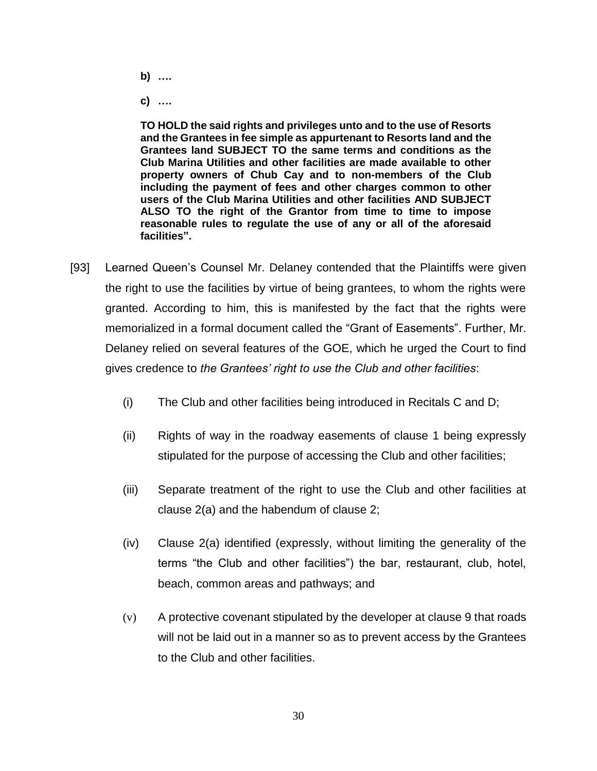- **b) ….**
- **c) ….**

**TO HOLD the said rights and privileges unto and to the use of Resorts and the Grantees in fee simple as appurtenant to Resorts land and the Grantees land SUBJECT TO the same terms and conditions as the Club Marina Utilities and other facilities are made available to other property owners of Chub Cay and to non-members of the Club including the payment of fees and other charges common to other users of the Club Marina Utilities and other facilities AND SUBJECT ALSO TO the right of the Grantor from time to time to impose reasonable rules to regulate the use of any or all of the aforesaid facilities".**

- [93] Learned Queen's Counsel Mr. Delaney contended that the Plaintiffs were given the right to use the facilities by virtue of being grantees, to whom the rights were granted. According to him, this is manifested by the fact that the rights were memorialized in a formal document called the "Grant of Easements". Further, Mr. Delaney relied on several features of the GOE, which he urged the Court to find gives credence to *the Grantees' right to use the Club and other facilities*:
	- (i) The Club and other facilities being introduced in Recitals C and D;
	- (ii) Rights of way in the roadway easements of clause 1 being expressly stipulated for the purpose of accessing the Club and other facilities;
	- (iii) Separate treatment of the right to use the Club and other facilities at clause 2(a) and the habendum of clause 2;
	- (iv) Clause 2(a) identified (expressly, without limiting the generality of the terms "the Club and other facilities") the bar, restaurant, club, hotel, beach, common areas and pathways; and
	- (v) A protective covenant stipulated by the developer at clause 9 that roads will not be laid out in a manner so as to prevent access by the Grantees to the Club and other facilities.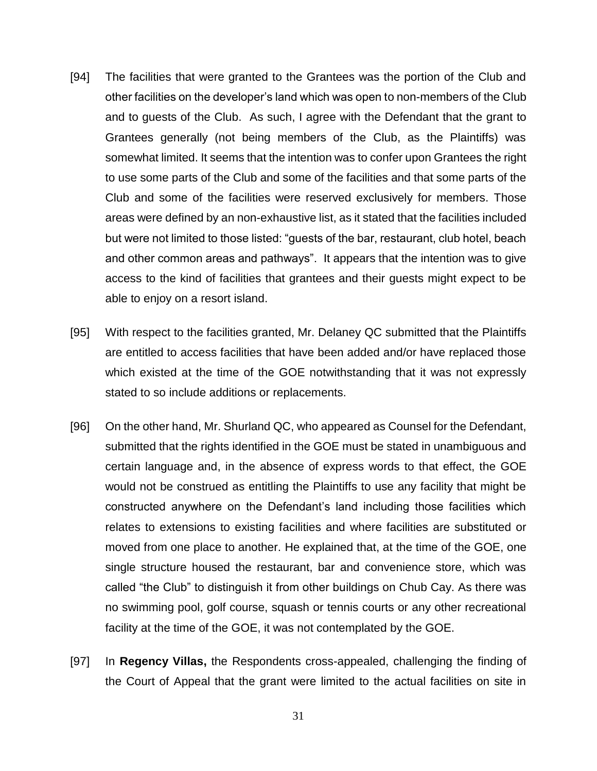- [94] The facilities that were granted to the Grantees was the portion of the Club and other facilities on the developer's land which was open to non-members of the Club and to guests of the Club. As such, I agree with the Defendant that the grant to Grantees generally (not being members of the Club, as the Plaintiffs) was somewhat limited. It seems that the intention was to confer upon Grantees the right to use some parts of the Club and some of the facilities and that some parts of the Club and some of the facilities were reserved exclusively for members. Those areas were defined by an non-exhaustive list, as it stated that the facilities included but were not limited to those listed: "guests of the bar, restaurant, club hotel, beach and other common areas and pathways". It appears that the intention was to give access to the kind of facilities that grantees and their guests might expect to be able to enjoy on a resort island.
- [95] With respect to the facilities granted, Mr. Delaney QC submitted that the Plaintiffs are entitled to access facilities that have been added and/or have replaced those which existed at the time of the GOE notwithstanding that it was not expressly stated to so include additions or replacements.
- [96] On the other hand, Mr. Shurland QC, who appeared as Counsel for the Defendant, submitted that the rights identified in the GOE must be stated in unambiguous and certain language and, in the absence of express words to that effect, the GOE would not be construed as entitling the Plaintiffs to use any facility that might be constructed anywhere on the Defendant's land including those facilities which relates to extensions to existing facilities and where facilities are substituted or moved from one place to another. He explained that, at the time of the GOE, one single structure housed the restaurant, bar and convenience store, which was called "the Club" to distinguish it from other buildings on Chub Cay. As there was no swimming pool, golf course, squash or tennis courts or any other recreational facility at the time of the GOE, it was not contemplated by the GOE.
- [97] In **Regency Villas,** the Respondents cross-appealed, challenging the finding of the Court of Appeal that the grant were limited to the actual facilities on site in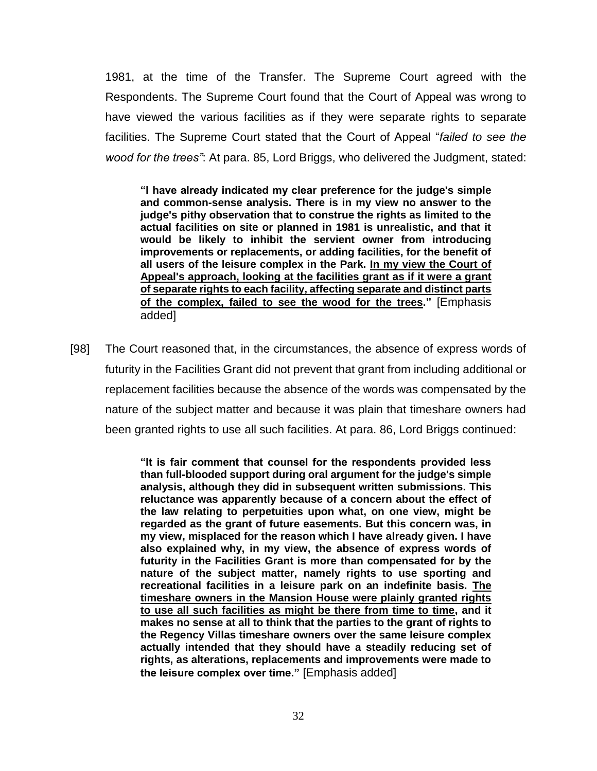1981, at the time of the Transfer. The Supreme Court agreed with the Respondents. The Supreme Court found that the Court of Appeal was wrong to have viewed the various facilities as if they were separate rights to separate facilities. The Supreme Court stated that the Court of Appeal "*failed to see the wood for the trees"*: At para. 85, Lord Briggs, who delivered the Judgment, stated:

**"I have already indicated my clear preference for the judge's simple and common-sense analysis. There is in my view no answer to the judge's pithy observation that to construe the rights as limited to the actual facilities on site or planned in 1981 is unrealistic, and that it would be likely to inhibit the servient owner from introducing improvements or replacements, or adding facilities, for the benefit of all users of the leisure complex in the Park. In my view the Court of Appeal's approach, looking at the facilities grant as if it were a grant of separate rights to each facility, affecting separate and distinct parts of the complex, failed to see the wood for the trees."** [Emphasis added]

[98] The Court reasoned that, in the circumstances, the absence of express words of futurity in the Facilities Grant did not prevent that grant from including additional or replacement facilities because the absence of the words was compensated by the nature of the subject matter and because it was plain that timeshare owners had been granted rights to use all such facilities. At para. 86, Lord Briggs continued:

> **"It is fair comment that counsel for the respondents provided less than full-blooded support during oral argument for the judge's simple analysis, although they did in subsequent written submissions. This reluctance was apparently because of a concern about the effect of the law relating to perpetuities upon what, on one view, might be regarded as the grant of future easements. But this concern was, in my view, misplaced for the reason which I have already given. I have also explained why, in my view, the absence of express words of futurity in the Facilities Grant is more than compensated for by the nature of the subject matter, namely rights to use sporting and recreational facilities in a leisure park on an indefinite basis. The timeshare owners in the Mansion House were plainly granted rights to use all such facilities as might be there from time to time, and it makes no sense at all to think that the parties to the grant of rights to the Regency Villas timeshare owners over the same leisure complex actually intended that they should have a steadily reducing set of rights, as alterations, replacements and improvements were made to the leisure complex over time."** [Emphasis added]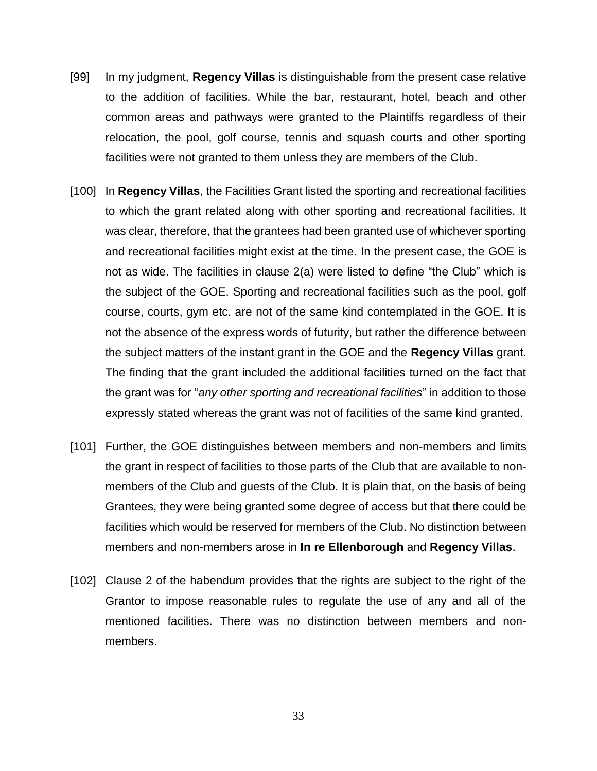- [99] In my judgment, **Regency Villas** is distinguishable from the present case relative to the addition of facilities. While the bar, restaurant, hotel, beach and other common areas and pathways were granted to the Plaintiffs regardless of their relocation, the pool, golf course, tennis and squash courts and other sporting facilities were not granted to them unless they are members of the Club.
- [100] In **Regency Villas**, the Facilities Grant listed the sporting and recreational facilities to which the grant related along with other sporting and recreational facilities. It was clear, therefore, that the grantees had been granted use of whichever sporting and recreational facilities might exist at the time. In the present case, the GOE is not as wide. The facilities in clause 2(a) were listed to define "the Club" which is the subject of the GOE. Sporting and recreational facilities such as the pool, golf course, courts, gym etc. are not of the same kind contemplated in the GOE. It is not the absence of the express words of futurity, but rather the difference between the subject matters of the instant grant in the GOE and the **Regency Villas** grant. The finding that the grant included the additional facilities turned on the fact that the grant was for "*any other sporting and recreational facilities*" in addition to those expressly stated whereas the grant was not of facilities of the same kind granted.
- [101] Further, the GOE distinguishes between members and non-members and limits the grant in respect of facilities to those parts of the Club that are available to nonmembers of the Club and guests of the Club. It is plain that, on the basis of being Grantees, they were being granted some degree of access but that there could be facilities which would be reserved for members of the Club. No distinction between members and non-members arose in **In re Ellenborough** and **Regency Villas**.
- [102] Clause 2 of the habendum provides that the rights are subject to the right of the Grantor to impose reasonable rules to regulate the use of any and all of the mentioned facilities. There was no distinction between members and nonmembers.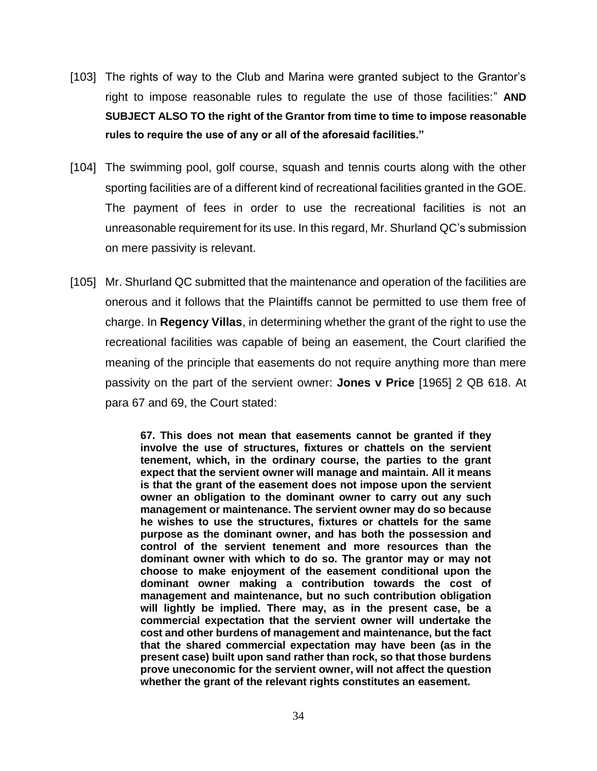- [103] The rights of way to the Club and Marina were granted subject to the Grantor's right to impose reasonable rules to regulate the use of those facilities:" **AND SUBJECT ALSO TO the right of the Grantor from time to time to impose reasonable rules to require the use of any or all of the aforesaid facilities."**
- [104] The swimming pool, golf course, squash and tennis courts along with the other sporting facilities are of a different kind of recreational facilities granted in the GOE. The payment of fees in order to use the recreational facilities is not an unreasonable requirement for its use. In this regard, Mr. Shurland QC's submission on mere passivity is relevant.
- [105] Mr. Shurland QC submitted that the maintenance and operation of the facilities are onerous and it follows that the Plaintiffs cannot be permitted to use them free of charge. In **Regency Villas**, in determining whether the grant of the right to use the recreational facilities was capable of being an easement, the Court clarified the meaning of the principle that easements do not require anything more than mere passivity on the part of the servient owner: **Jones v Price** [1965] 2 QB 618. At para 67 and 69, the Court stated:

**67. This does not mean that easements cannot be granted if they involve the use of structures, fixtures or chattels on the servient tenement, which, in the ordinary course, the parties to the grant expect that the servient owner will manage and maintain. All it means is that the grant of the easement does not impose upon the servient owner an obligation to the dominant owner to carry out any such management or maintenance. The servient owner may do so because he wishes to use the structures, fixtures or chattels for the same purpose as the dominant owner, and has both the possession and control of the servient tenement and more resources than the dominant owner with which to do so. The grantor may or may not choose to make enjoyment of the easement conditional upon the dominant owner making a contribution towards the cost of management and maintenance, but no such contribution obligation will lightly be implied. There may, as in the present case, be a commercial expectation that the servient owner will undertake the cost and other burdens of management and maintenance, but the fact that the shared commercial expectation may have been (as in the present case) built upon sand rather than rock, so that those burdens prove uneconomic for the servient owner, will not affect the question whether the grant of the relevant rights constitutes an easement.**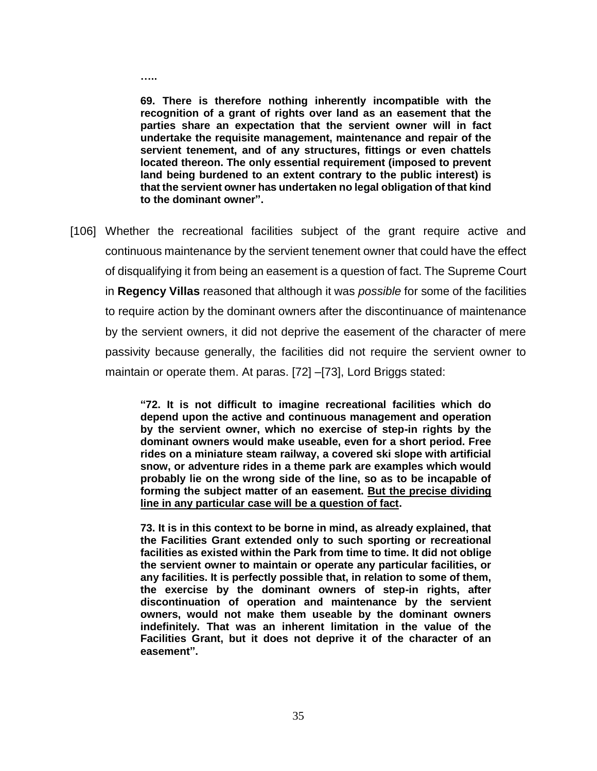**69. There is therefore nothing inherently incompatible with the recognition of a grant of rights over land as an easement that the parties share an expectation that the servient owner will in fact undertake the requisite management, maintenance and repair of the servient tenement, and of any structures, fittings or even chattels located thereon. The only essential requirement (imposed to prevent land being burdened to an extent contrary to the public interest) is that the servient owner has undertaken no legal obligation of that kind to the dominant owner".**

**…..**

[106] Whether the recreational facilities subject of the grant require active and continuous maintenance by the servient tenement owner that could have the effect of disqualifying it from being an easement is a question of fact. The Supreme Court in **Regency Villas** reasoned that although it was *possible* for some of the facilities to require action by the dominant owners after the discontinuance of maintenance by the servient owners, it did not deprive the easement of the character of mere passivity because generally, the facilities did not require the servient owner to maintain or operate them. At paras. [72] –[73], Lord Briggs stated:

> **"72. It is not difficult to imagine recreational facilities which do depend upon the active and continuous management and operation by the servient owner, which no exercise of step-in rights by the dominant owners would make useable, even for a short period. Free rides on a miniature steam railway, a covered ski slope with artificial snow, or adventure rides in a theme park are examples which would probably lie on the wrong side of the line, so as to be incapable of forming the subject matter of an easement. But the precise dividing line in any particular case will be a question of fact.**

> **73. It is in this context to be borne in mind, as already explained, that the Facilities Grant extended only to such sporting or recreational facilities as existed within the Park from time to time. It did not oblige the servient owner to maintain or operate any particular facilities, or any facilities. It is perfectly possible that, in relation to some of them, the exercise by the dominant owners of step-in rights, after discontinuation of operation and maintenance by the servient owners, would not make them useable by the dominant owners indefinitely. That was an inherent limitation in the value of the Facilities Grant, but it does not deprive it of the character of an easement".**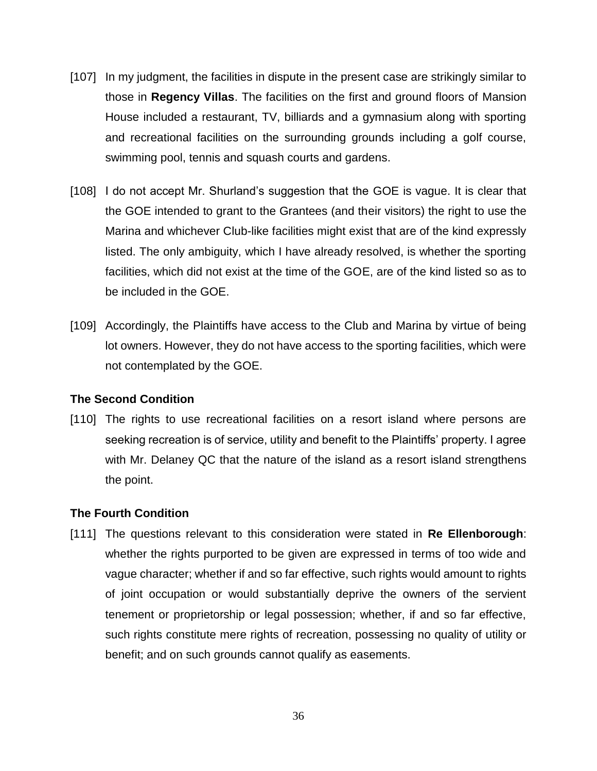- [107] In my judgment, the facilities in dispute in the present case are strikingly similar to those in **Regency Villas**. The facilities on the first and ground floors of Mansion House included a restaurant, TV, billiards and a gymnasium along with sporting and recreational facilities on the surrounding grounds including a golf course, swimming pool, tennis and squash courts and gardens.
- [108] I do not accept Mr. Shurland's suggestion that the GOE is vague. It is clear that the GOE intended to grant to the Grantees (and their visitors) the right to use the Marina and whichever Club-like facilities might exist that are of the kind expressly listed. The only ambiguity, which I have already resolved, is whether the sporting facilities, which did not exist at the time of the GOE, are of the kind listed so as to be included in the GOE.
- [109] Accordingly, the Plaintiffs have access to the Club and Marina by virtue of being lot owners. However, they do not have access to the sporting facilities, which were not contemplated by the GOE.

## **The Second Condition**

[110] The rights to use recreational facilities on a resort island where persons are seeking recreation is of service, utility and benefit to the Plaintiffs' property. I agree with Mr. Delaney QC that the nature of the island as a resort island strengthens the point.

## **The Fourth Condition**

[111] The questions relevant to this consideration were stated in **Re Ellenborough**: whether the rights purported to be given are expressed in terms of too wide and vague character; whether if and so far effective, such rights would amount to rights of joint occupation or would substantially deprive the owners of the servient tenement or proprietorship or legal possession; whether, if and so far effective, such rights constitute mere rights of recreation, possessing no quality of utility or benefit; and on such grounds cannot qualify as easements.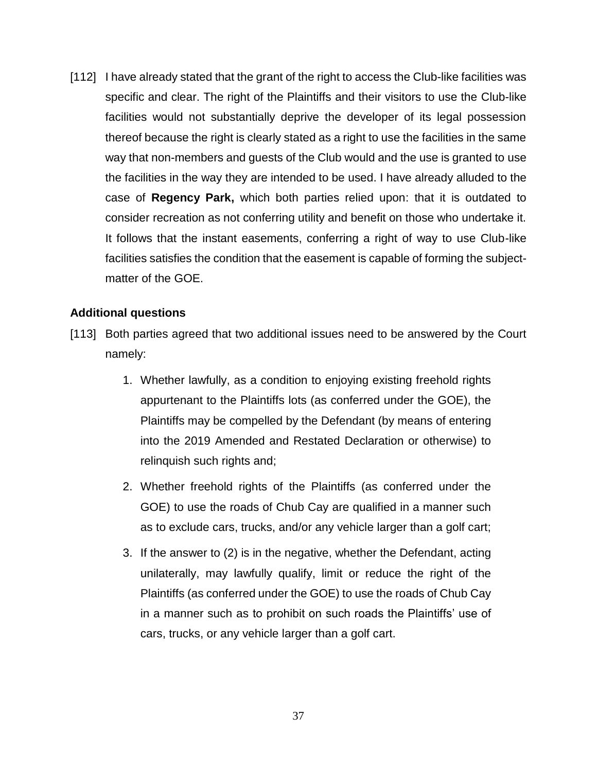[112] I have already stated that the grant of the right to access the Club-like facilities was specific and clear. The right of the Plaintiffs and their visitors to use the Club-like facilities would not substantially deprive the developer of its legal possession thereof because the right is clearly stated as a right to use the facilities in the same way that non-members and guests of the Club would and the use is granted to use the facilities in the way they are intended to be used. I have already alluded to the case of **Regency Park,** which both parties relied upon: that it is outdated to consider recreation as not conferring utility and benefit on those who undertake it. It follows that the instant easements, conferring a right of way to use Club-like facilities satisfies the condition that the easement is capable of forming the subjectmatter of the GOE.

## **Additional questions**

- [113] Both parties agreed that two additional issues need to be answered by the Court namely:
	- 1. Whether lawfully, as a condition to enjoying existing freehold rights appurtenant to the Plaintiffs lots (as conferred under the GOE), the Plaintiffs may be compelled by the Defendant (by means of entering into the 2019 Amended and Restated Declaration or otherwise) to relinquish such rights and;
	- 2. Whether freehold rights of the Plaintiffs (as conferred under the GOE) to use the roads of Chub Cay are qualified in a manner such as to exclude cars, trucks, and/or any vehicle larger than a golf cart;
	- 3. If the answer to (2) is in the negative, whether the Defendant, acting unilaterally, may lawfully qualify, limit or reduce the right of the Plaintiffs (as conferred under the GOE) to use the roads of Chub Cay in a manner such as to prohibit on such roads the Plaintiffs' use of cars, trucks, or any vehicle larger than a golf cart.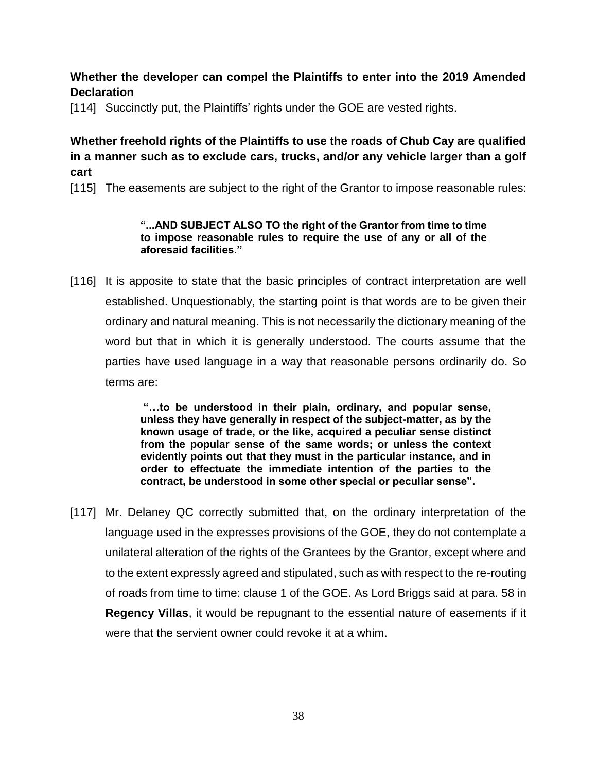## **Whether the developer can compel the Plaintiffs to enter into the 2019 Amended Declaration**

[114] Succinctly put, the Plaintiffs' rights under the GOE are vested rights.

## **Whether freehold rights of the Plaintiffs to use the roads of Chub Cay are qualified in a manner such as to exclude cars, trucks, and/or any vehicle larger than a golf cart**

[115] The easements are subject to the right of the Grantor to impose reasonable rules:

#### **"...AND SUBJECT ALSO TO the right of the Grantor from time to time to impose reasonable rules to require the use of any or all of the aforesaid facilities."**

[116] It is apposite to state that the basic principles of contract interpretation are well established. Unquestionably, the starting point is that words are to be given their ordinary and natural meaning. This is not necessarily the dictionary meaning of the word but that in which it is generally understood. The courts assume that the parties have used language in a way that reasonable persons ordinarily do. So terms are:

> **"…to be understood in their plain, ordinary, and popular sense, unless they have generally in respect of the subject-matter, as by the known usage of trade, or the like, acquired a peculiar sense distinct from the popular sense of the same words; or unless the context evidently points out that they must in the particular instance, and in order to effectuate the immediate intention of the parties to the contract, be understood in some other special or peculiar sense".**

[117] Mr. Delaney QC correctly submitted that, on the ordinary interpretation of the language used in the expresses provisions of the GOE, they do not contemplate a unilateral alteration of the rights of the Grantees by the Grantor, except where and to the extent expressly agreed and stipulated, such as with respect to the re-routing of roads from time to time: clause 1 of the GOE. As Lord Briggs said at para. 58 in **Regency Villas**, it would be repugnant to the essential nature of easements if it were that the servient owner could revoke it at a whim.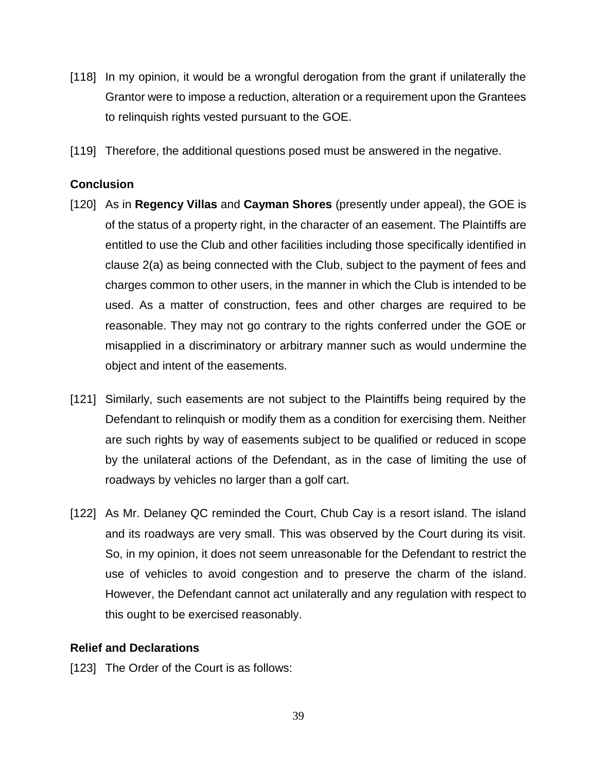- [118] In my opinion, it would be a wrongful derogation from the grant if unilaterally the Grantor were to impose a reduction, alteration or a requirement upon the Grantees to relinquish rights vested pursuant to the GOE.
- [119] Therefore, the additional questions posed must be answered in the negative.

## **Conclusion**

- [120] As in **Regency Villas** and **Cayman Shores** (presently under appeal), the GOE is of the status of a property right, in the character of an easement. The Plaintiffs are entitled to use the Club and other facilities including those specifically identified in clause 2(a) as being connected with the Club, subject to the payment of fees and charges common to other users, in the manner in which the Club is intended to be used. As a matter of construction, fees and other charges are required to be reasonable. They may not go contrary to the rights conferred under the GOE or misapplied in a discriminatory or arbitrary manner such as would undermine the object and intent of the easements.
- [121] Similarly, such easements are not subject to the Plaintiffs being required by the Defendant to relinquish or modify them as a condition for exercising them. Neither are such rights by way of easements subject to be qualified or reduced in scope by the unilateral actions of the Defendant, as in the case of limiting the use of roadways by vehicles no larger than a golf cart.
- [122] As Mr. Delaney QC reminded the Court, Chub Cay is a resort island. The island and its roadways are very small. This was observed by the Court during its visit. So, in my opinion, it does not seem unreasonable for the Defendant to restrict the use of vehicles to avoid congestion and to preserve the charm of the island. However, the Defendant cannot act unilaterally and any regulation with respect to this ought to be exercised reasonably.

## **Relief and Declarations**

[123] The Order of the Court is as follows: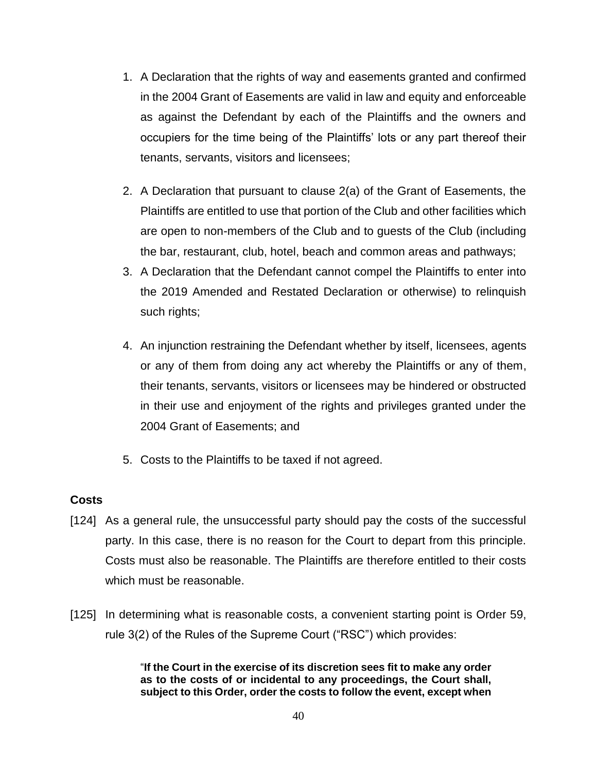- 1. A Declaration that the rights of way and easements granted and confirmed in the 2004 Grant of Easements are valid in law and equity and enforceable as against the Defendant by each of the Plaintiffs and the owners and occupiers for the time being of the Plaintiffs' lots or any part thereof their tenants, servants, visitors and licensees;
- 2. A Declaration that pursuant to clause 2(a) of the Grant of Easements, the Plaintiffs are entitled to use that portion of the Club and other facilities which are open to non-members of the Club and to guests of the Club (including the bar, restaurant, club, hotel, beach and common areas and pathways;
- 3. A Declaration that the Defendant cannot compel the Plaintiffs to enter into the 2019 Amended and Restated Declaration or otherwise) to relinquish such rights;
- 4. An injunction restraining the Defendant whether by itself, licensees, agents or any of them from doing any act whereby the Plaintiffs or any of them, their tenants, servants, visitors or licensees may be hindered or obstructed in their use and enjoyment of the rights and privileges granted under the 2004 Grant of Easements; and
- 5. Costs to the Plaintiffs to be taxed if not agreed.

## **Costs**

- [124] As a general rule, the unsuccessful party should pay the costs of the successful party. In this case, there is no reason for the Court to depart from this principle. Costs must also be reasonable. The Plaintiffs are therefore entitled to their costs which must be reasonable.
- [125] In determining what is reasonable costs, a convenient starting point is Order 59, rule 3(2) of the Rules of the Supreme Court ("RSC") which provides:

"**If the Court in the exercise of its discretion sees fit to make any order as to the costs of or incidental to any proceedings, the Court shall, subject to this Order, order the costs to follow the event, except when**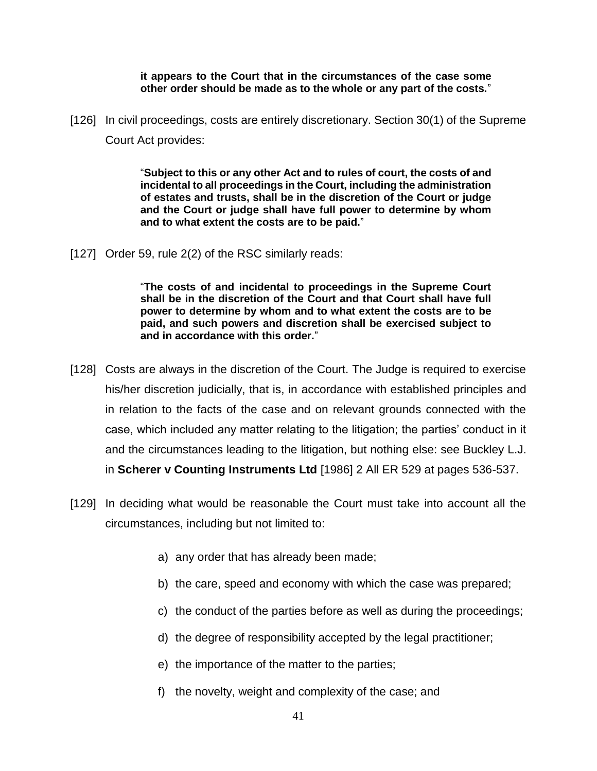#### **it appears to the Court that in the circumstances of the case some other order should be made as to the whole or any part of the costs.**"

[126] In civil proceedings, costs are entirely discretionary. Section 30(1) of the Supreme Court Act provides:

> "**Subject to this or any other Act and to rules of court, the costs of and incidental to all proceedings in the Court, including the administration of estates and trusts, shall be in the discretion of the Court or judge and the Court or judge shall have full power to determine by whom and to what extent the costs are to be paid.**"

[127] Order 59, rule 2(2) of the RSC similarly reads:

"**The costs of and incidental to proceedings in the Supreme Court shall be in the discretion of the Court and that Court shall have full power to determine by whom and to what extent the costs are to be paid, and such powers and discretion shall be exercised subject to and in accordance with this order.**"

- [128] Costs are always in the discretion of the Court. The Judge is required to exercise his/her discretion judicially, that is, in accordance with established principles and in relation to the facts of the case and on relevant grounds connected with the case, which included any matter relating to the litigation; the parties' conduct in it and the circumstances leading to the litigation, but nothing else: see Buckley L.J. in **Scherer v Counting Instruments Ltd** [1986] 2 All ER 529 at pages 536-537.
- [129] In deciding what would be reasonable the Court must take into account all the circumstances, including but not limited to:
	- a) any order that has already been made;
	- b) the care, speed and economy with which the case was prepared;
	- c) the conduct of the parties before as well as during the proceedings;
	- d) the degree of responsibility accepted by the legal practitioner;
	- e) the importance of the matter to the parties;
	- f) the novelty, weight and complexity of the case; and